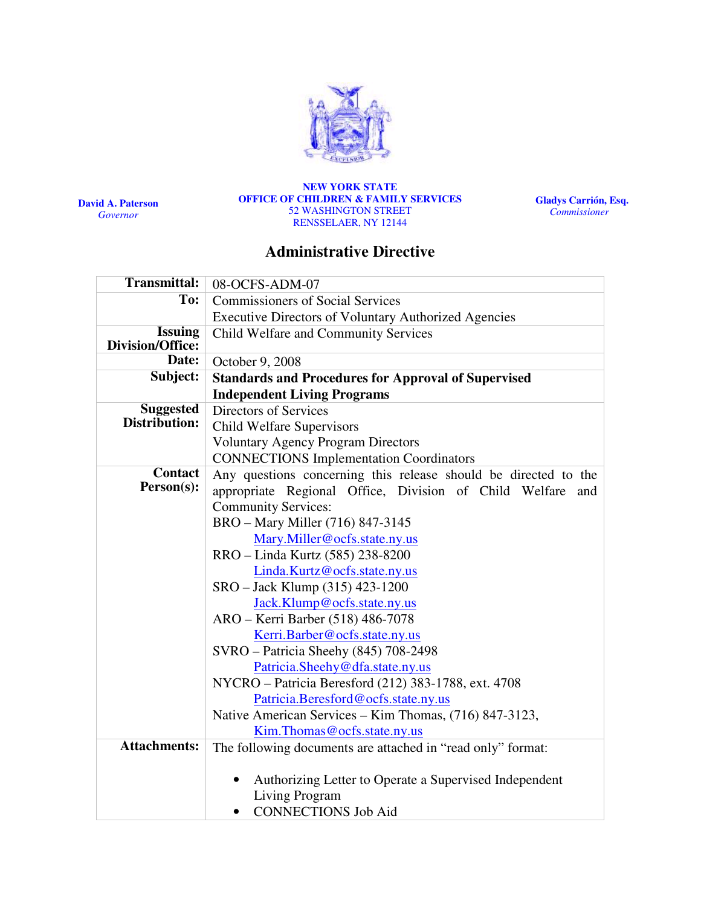

David A. Paterson Governor

NEW YORK STATE OFFICE OF CHILDREN & FAMILY SERVICES 52 WASHINGTON STREET RENSSELAER, NY 12144

Gladys Carrión, Esq. **Commissioner** 

# Administrative Directive

| <b>Transmittal:</b>                | 08-OCFS-ADM-07                                                  |  |  |  |  |  |
|------------------------------------|-----------------------------------------------------------------|--|--|--|--|--|
| To:                                | <b>Commissioners of Social Services</b>                         |  |  |  |  |  |
|                                    | <b>Executive Directors of Voluntary Authorized Agencies</b>     |  |  |  |  |  |
| <b>Issuing</b><br>Division/Office: | Child Welfare and Community Services                            |  |  |  |  |  |
| Date:                              |                                                                 |  |  |  |  |  |
| Subject:                           | October 9, 2008                                                 |  |  |  |  |  |
|                                    | <b>Standards and Procedures for Approval of Supervised</b>      |  |  |  |  |  |
|                                    | <b>Independent Living Programs</b>                              |  |  |  |  |  |
| <b>Suggested</b><br>Distribution:  | Directors of Services                                           |  |  |  |  |  |
|                                    | <b>Child Welfare Supervisors</b>                                |  |  |  |  |  |
|                                    | <b>Voluntary Agency Program Directors</b>                       |  |  |  |  |  |
|                                    | <b>CONNECTIONS Implementation Coordinators</b>                  |  |  |  |  |  |
| Contact                            | Any questions concerning this release should be directed to the |  |  |  |  |  |
| Person(s):                         | appropriate Regional Office, Division of Child Welfare<br>and   |  |  |  |  |  |
|                                    | <b>Community Services:</b>                                      |  |  |  |  |  |
|                                    | BRO - Mary Miller (716) 847-3145                                |  |  |  |  |  |
|                                    | Mary.Miller@ocfs.state.ny.us                                    |  |  |  |  |  |
|                                    | RRO - Linda Kurtz (585) 238-8200                                |  |  |  |  |  |
|                                    | Linda.Kurtz@ocfs.state.ny.us                                    |  |  |  |  |  |
|                                    | SRO - Jack Klump (315) 423-1200                                 |  |  |  |  |  |
|                                    | Jack.Klump@ocfs.state.ny.us                                     |  |  |  |  |  |
|                                    | ARO - Kerri Barber (518) 486-7078                               |  |  |  |  |  |
|                                    | Kerri.Barber@ocfs.state.ny.us                                   |  |  |  |  |  |
|                                    | SVRO - Patricia Sheehy (845) 708-2498                           |  |  |  |  |  |
|                                    | Patricia.Sheehy@dfa.state.ny.us                                 |  |  |  |  |  |
|                                    | NYCRO - Patricia Beresford (212) 383-1788, ext. 4708            |  |  |  |  |  |
|                                    | Patricia.Beresford@ocfs.state.ny.us                             |  |  |  |  |  |
|                                    | Native American Services - Kim Thomas, (716) 847-3123,          |  |  |  |  |  |
|                                    | Kim. Thomas @ ocfs.state.ny.us                                  |  |  |  |  |  |
| <b>Attachments:</b>                | The following documents are attached in "read only" format:     |  |  |  |  |  |
|                                    |                                                                 |  |  |  |  |  |
|                                    | Authorizing Letter to Operate a Supervised Independent          |  |  |  |  |  |
|                                    | <b>Living Program</b>                                           |  |  |  |  |  |
|                                    | <b>CONNECTIONS Job Aid</b>                                      |  |  |  |  |  |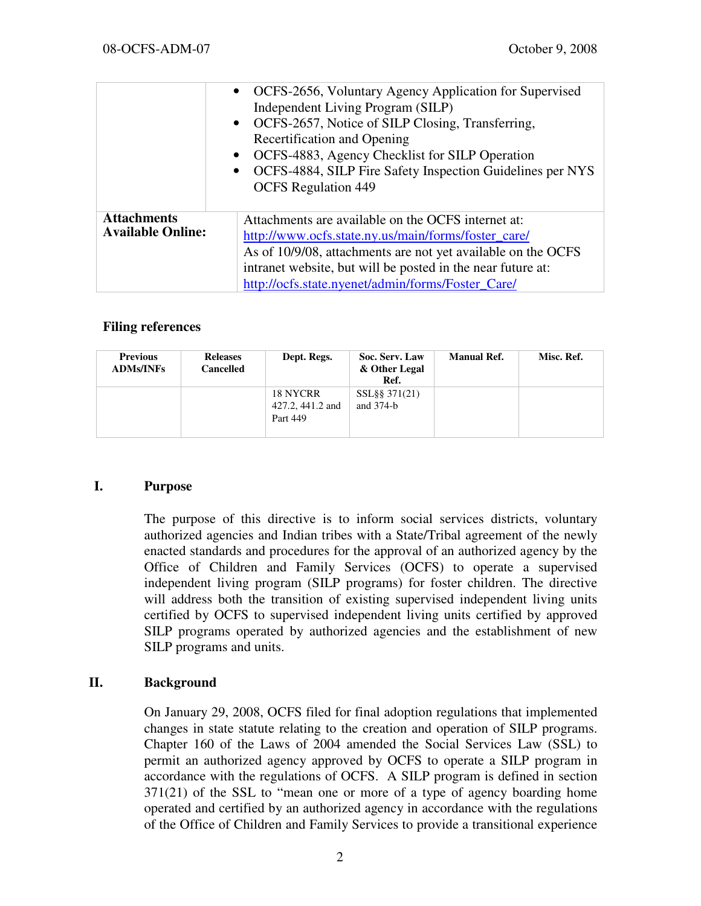|                                                | • OCFS-2656, Voluntary Agency Application for Supervised<br>Independent Living Program (SILP)<br>• OCFS-2657, Notice of SILP Closing, Transferring,<br>Recertification and Opening<br>OCFS-4883, Agency Checklist for SILP Operation<br>$\bullet$<br>OCFS-4884, SILP Fire Safety Inspection Guidelines per NYS<br><b>OCFS</b> Regulation 449 |
|------------------------------------------------|----------------------------------------------------------------------------------------------------------------------------------------------------------------------------------------------------------------------------------------------------------------------------------------------------------------------------------------------|
| <b>Attachments</b><br><b>Available Online:</b> | Attachments are available on the OCFS internet at:<br>http://www.ocfs.state.ny.us/main/forms/foster_care/<br>As of 10/9/08, attachments are not yet available on the OCFS<br>intranet website, but will be posted in the near future at:<br>http://ocfs.state.nyenet/admin/forms/Foster_Care/                                                |

## Filing references

| <b>Previous</b><br><b>ADMs/INFs</b> | <b>Releases</b><br>Cancelled | Dept. Regs.                              | Soc. Serv. Law<br>& Other Legal<br>Ref. | <b>Manual Ref.</b> | Misc. Ref. |
|-------------------------------------|------------------------------|------------------------------------------|-----------------------------------------|--------------------|------------|
|                                     |                              | 18 NYCRR<br>427.2, 441.2 and<br>Part 449 | SSL§§ 371(21)<br>and $374-h$            |                    |            |

## I. Purpose

The purpose of this directive is to inform social services districts, voluntary authorized agencies and Indian tribes with a State/Tribal agreement of the newly enacted standards and procedures for the approval of an authorized agency by the Office of Children and Family Services (OCFS) to operate a supervised independent living program (SILP programs) for foster children. The directive will address both the transition of existing supervised independent living units certified by OCFS to supervised independent living units certified by approved SILP programs operated by authorized agencies and the establishment of new SILP programs and units.

## II. Background

On January 29, 2008, OCFS filed for final adoption regulations that implemented changes in state statute relating to the creation and operation of SILP programs. Chapter 160 of the Laws of 2004 amended the Social Services Law (SSL) to permit an authorized agency approved by OCFS to operate a SILP program in accordance with the regulations of OCFS. A SILP program is defined in section 371(21) of the SSL to "mean one or more of a type of agency boarding home operated and certified by an authorized agency in accordance with the regulations of the Office of Children and Family Services to provide a transitional experience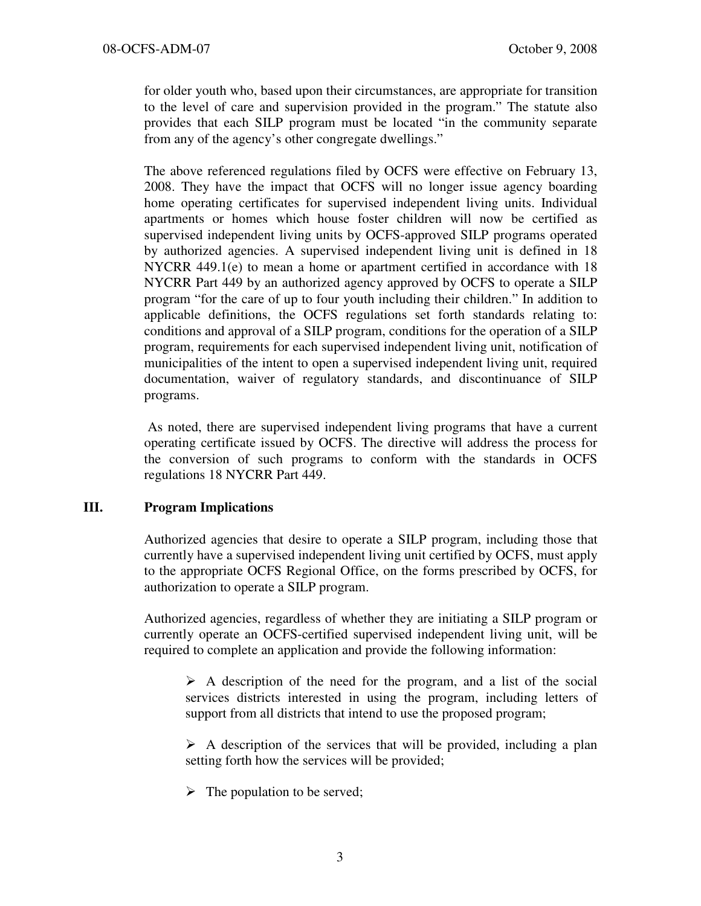for older youth who, based upon their circumstances, are appropriate for transition to the level of care and supervision provided in the program." The statute also provides that each SILP program must be located "in the community separate from any of the agency's other congregate dwellings."

The above referenced regulations filed by OCFS were effective on February 13, 2008. They have the impact that OCFS will no longer issue agency boarding home operating certificates for supervised independent living units. Individual apartments or homes which house foster children will now be certified as supervised independent living units by OCFS-approved SILP programs operated by authorized agencies. A supervised independent living unit is defined in 18 NYCRR 449.1(e) to mean a home or apartment certified in accordance with 18 NYCRR Part 449 by an authorized agency approved by OCFS to operate a SILP program "for the care of up to four youth including their children." In addition to applicable definitions, the OCFS regulations set forth standards relating to: conditions and approval of a SILP program, conditions for the operation of a SILP program, requirements for each supervised independent living unit, notification of municipalities of the intent to open a supervised independent living unit, required documentation, waiver of regulatory standards, and discontinuance of SILP programs.

 As noted, there are supervised independent living programs that have a current operating certificate issued by OCFS. The directive will address the process for the conversion of such programs to conform with the standards in OCFS regulations 18 NYCRR Part 449.

# III. Program Implications

Authorized agencies that desire to operate a SILP program, including those that currently have a supervised independent living unit certified by OCFS, must apply to the appropriate OCFS Regional Office, on the forms prescribed by OCFS, for authorization to operate a SILP program.

Authorized agencies, regardless of whether they are initiating a SILP program or currently operate an OCFS-certified supervised independent living unit, will be required to complete an application and provide the following information:

 $\triangleright$  A description of the need for the program, and a list of the social services districts interested in using the program, including letters of support from all districts that intend to use the proposed program;

 $\triangleright$  A description of the services that will be provided, including a plan setting forth how the services will be provided;

 $\triangleright$  The population to be served;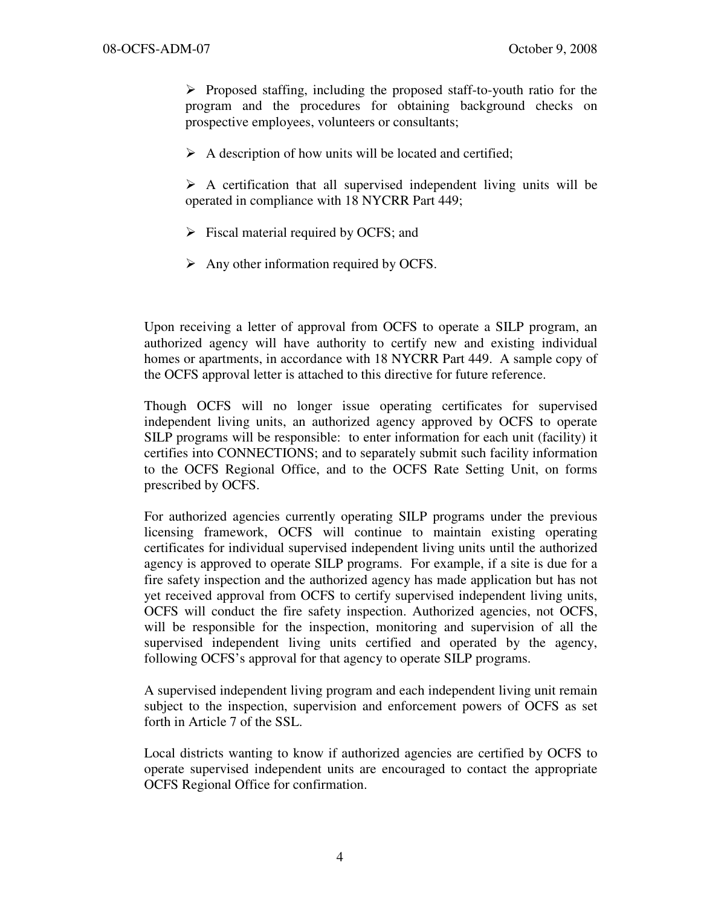$\triangleright$  Proposed staffing, including the proposed staff-to-youth ratio for the program and the procedures for obtaining background checks on prospective employees, volunteers or consultants;

 $\triangleright$  A description of how units will be located and certified;

 $\triangleright$  A certification that all supervised independent living units will be operated in compliance with 18 NYCRR Part 449;

- $\triangleright$  Fiscal material required by OCFS; and
- $\triangleright$  Any other information required by OCFS.

Upon receiving a letter of approval from OCFS to operate a SILP program, an authorized agency will have authority to certify new and existing individual homes or apartments, in accordance with 18 NYCRR Part 449. A sample copy of the OCFS approval letter is attached to this directive for future reference.

Though OCFS will no longer issue operating certificates for supervised independent living units, an authorized agency approved by OCFS to operate SILP programs will be responsible: to enter information for each unit (facility) it certifies into CONNECTIONS; and to separately submit such facility information to the OCFS Regional Office, and to the OCFS Rate Setting Unit, on forms prescribed by OCFS.

For authorized agencies currently operating SILP programs under the previous licensing framework, OCFS will continue to maintain existing operating certificates for individual supervised independent living units until the authorized agency is approved to operate SILP programs. For example, if a site is due for a fire safety inspection and the authorized agency has made application but has not yet received approval from OCFS to certify supervised independent living units, OCFS will conduct the fire safety inspection. Authorized agencies, not OCFS, will be responsible for the inspection, monitoring and supervision of all the supervised independent living units certified and operated by the agency, following OCFS's approval for that agency to operate SILP programs.

A supervised independent living program and each independent living unit remain subject to the inspection, supervision and enforcement powers of OCFS as set forth in Article 7 of the SSL.

Local districts wanting to know if authorized agencies are certified by OCFS to operate supervised independent units are encouraged to contact the appropriate OCFS Regional Office for confirmation.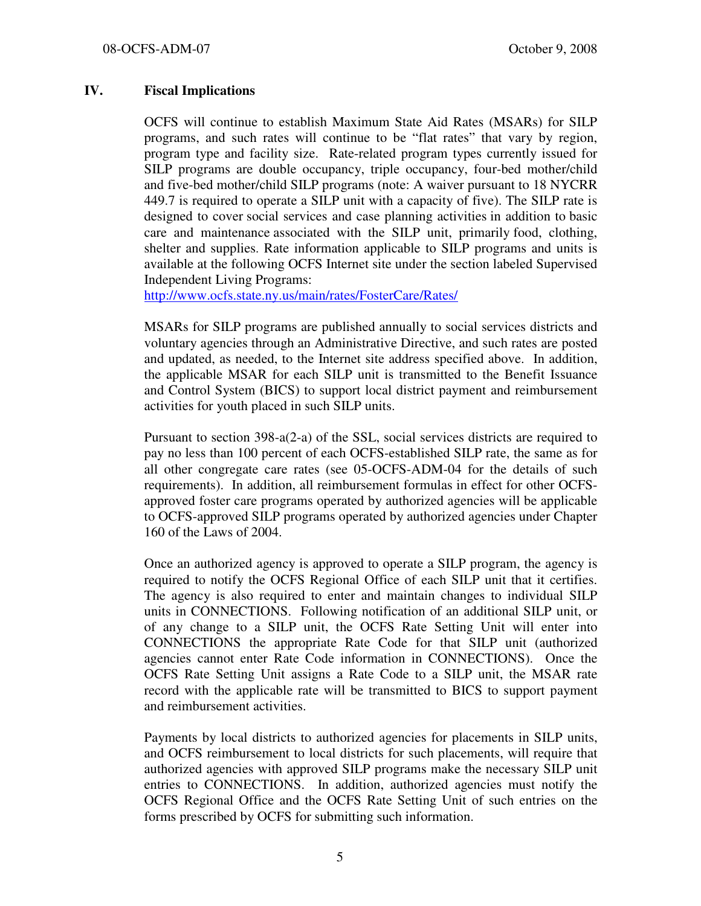## IV. Fiscal Implications

OCFS will continue to establish Maximum State Aid Rates (MSARs) for SILP programs, and such rates will continue to be "flat rates" that vary by region, program type and facility size. Rate-related program types currently issued for SILP programs are double occupancy, triple occupancy, four-bed mother/child and five-bed mother/child SILP programs (note: A waiver pursuant to 18 NYCRR 449.7 is required to operate a SILP unit with a capacity of five). The SILP rate is designed to cover social services and case planning activities in addition to basic care and maintenance associated with the SILP unit, primarily food, clothing, shelter and supplies. Rate information applicable to SILP programs and units is available at the following OCFS Internet site under the section labeled Supervised Independent Living Programs:

http://www.ocfs.state.ny.us/main/rates/FosterCare/Rates/

MSARs for SILP programs are published annually to social services districts and voluntary agencies through an Administrative Directive, and such rates are posted and updated, as needed, to the Internet site address specified above. In addition, the applicable MSAR for each SILP unit is transmitted to the Benefit Issuance and Control System (BICS) to support local district payment and reimbursement activities for youth placed in such SILP units.

Pursuant to section 398-a(2-a) of the SSL, social services districts are required to pay no less than 100 percent of each OCFS-established SILP rate, the same as for all other congregate care rates (see 05-OCFS-ADM-04 for the details of such requirements). In addition, all reimbursement formulas in effect for other OCFSapproved foster care programs operated by authorized agencies will be applicable to OCFS-approved SILP programs operated by authorized agencies under Chapter 160 of the Laws of 2004.

Once an authorized agency is approved to operate a SILP program, the agency is required to notify the OCFS Regional Office of each SILP unit that it certifies. The agency is also required to enter and maintain changes to individual SILP units in CONNECTIONS. Following notification of an additional SILP unit, or of any change to a SILP unit, the OCFS Rate Setting Unit will enter into CONNECTIONS the appropriate Rate Code for that SILP unit (authorized agencies cannot enter Rate Code information in CONNECTIONS). Once the OCFS Rate Setting Unit assigns a Rate Code to a SILP unit, the MSAR rate record with the applicable rate will be transmitted to BICS to support payment and reimbursement activities.

Payments by local districts to authorized agencies for placements in SILP units, and OCFS reimbursement to local districts for such placements, will require that authorized agencies with approved SILP programs make the necessary SILP unit entries to CONNECTIONS. In addition, authorized agencies must notify the OCFS Regional Office and the OCFS Rate Setting Unit of such entries on the forms prescribed by OCFS for submitting such information.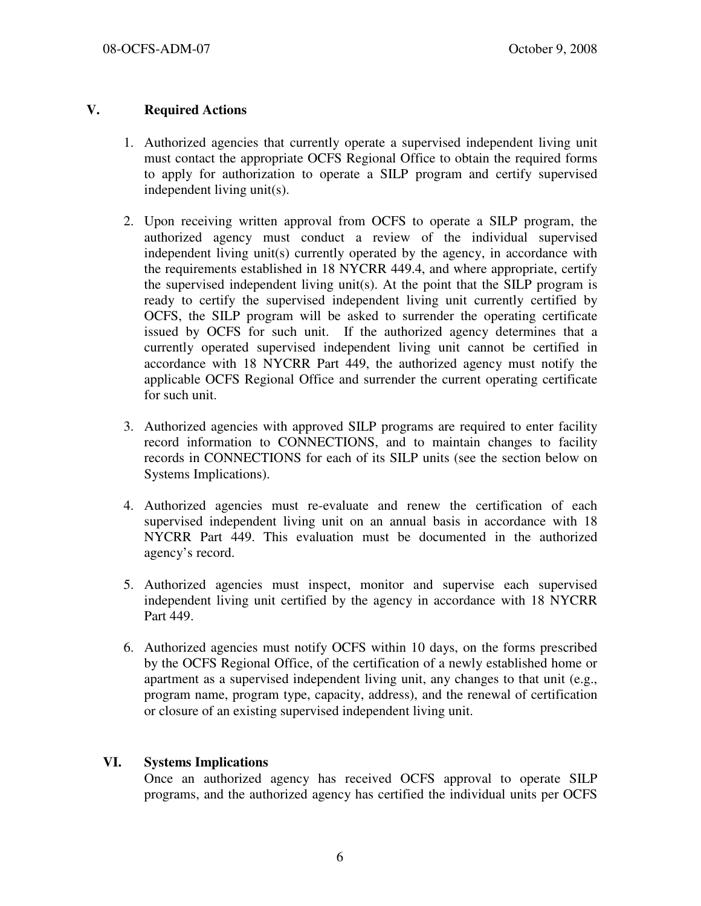## V. Required Actions

- 1. Authorized agencies that currently operate a supervised independent living unit must contact the appropriate OCFS Regional Office to obtain the required forms to apply for authorization to operate a SILP program and certify supervised independent living unit(s).
- 2. Upon receiving written approval from OCFS to operate a SILP program, the authorized agency must conduct a review of the individual supervised independent living unit(s) currently operated by the agency, in accordance with the requirements established in 18 NYCRR 449.4, and where appropriate, certify the supervised independent living unit(s). At the point that the SILP program is ready to certify the supervised independent living unit currently certified by OCFS, the SILP program will be asked to surrender the operating certificate issued by OCFS for such unit. If the authorized agency determines that a currently operated supervised independent living unit cannot be certified in accordance with 18 NYCRR Part 449, the authorized agency must notify the applicable OCFS Regional Office and surrender the current operating certificate for such unit.
- 3. Authorized agencies with approved SILP programs are required to enter facility record information to CONNECTIONS, and to maintain changes to facility records in CONNECTIONS for each of its SILP units (see the section below on Systems Implications).
- 4. Authorized agencies must re-evaluate and renew the certification of each supervised independent living unit on an annual basis in accordance with 18 NYCRR Part 449. This evaluation must be documented in the authorized agency's record.
- 5. Authorized agencies must inspect, monitor and supervise each supervised independent living unit certified by the agency in accordance with 18 NYCRR Part 449.
- 6. Authorized agencies must notify OCFS within 10 days, on the forms prescribed by the OCFS Regional Office, of the certification of a newly established home or apartment as a supervised independent living unit, any changes to that unit (e.g., program name, program type, capacity, address), and the renewal of certification or closure of an existing supervised independent living unit.

# VI. Systems Implications

Once an authorized agency has received OCFS approval to operate SILP programs, and the authorized agency has certified the individual units per OCFS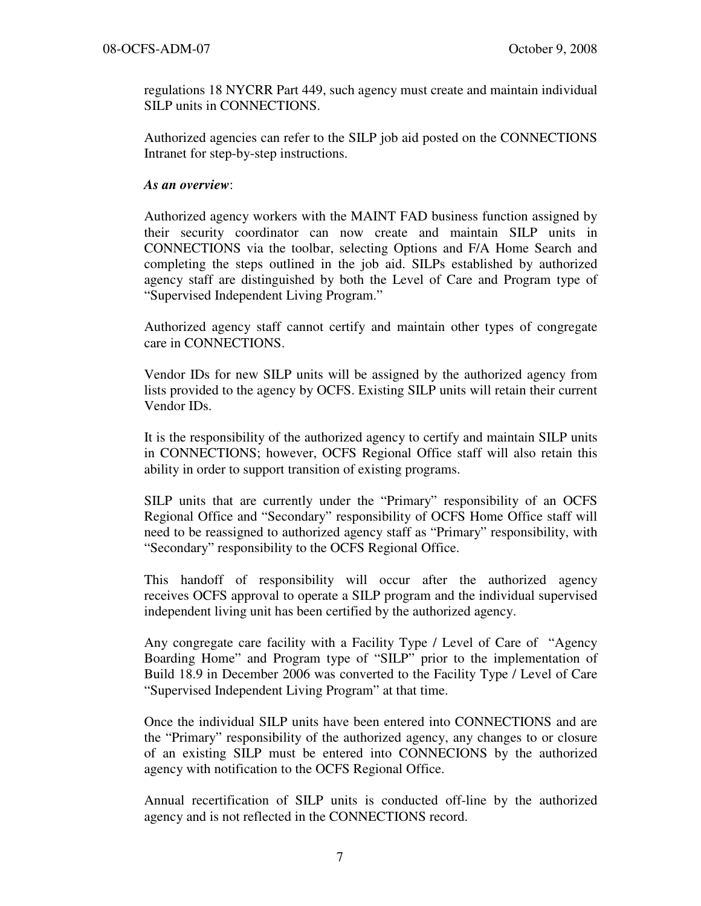regulations 18 NYCRR Part 449, such agency must create and maintain individual SILP units in CONNECTIONS.

 Authorized agencies can refer to the SILP job aid posted on the CONNECTIONS Intranet for step-by-step instructions.

### As an overview:

 Authorized agency workers with the MAINT FAD business function assigned by their security coordinator can now create and maintain SILP units in CONNECTIONS via the toolbar, selecting Options and F/A Home Search and completing the steps outlined in the job aid. SILPs established by authorized agency staff are distinguished by both the Level of Care and Program type of "Supervised Independent Living Program."

 Authorized agency staff cannot certify and maintain other types of congregate care in CONNECTIONS.

 Vendor IDs for new SILP units will be assigned by the authorized agency from lists provided to the agency by OCFS. Existing SILP units will retain their current Vendor IDs.

It is the responsibility of the authorized agency to certify and maintain SILP units in CONNECTIONS; however, OCFS Regional Office staff will also retain this ability in order to support transition of existing programs.

SILP units that are currently under the "Primary" responsibility of an OCFS Regional Office and "Secondary" responsibility of OCFS Home Office staff will need to be reassigned to authorized agency staff as "Primary" responsibility, with "Secondary" responsibility to the OCFS Regional Office.

 This handoff of responsibility will occur after the authorized agency receives OCFS approval to operate a SILP program and the individual supervised independent living unit has been certified by the authorized agency.

 Any congregate care facility with a Facility Type / Level of Care of "Agency Boarding Home" and Program type of "SILP" prior to the implementation of Build 18.9 in December 2006 was converted to the Facility Type / Level of Care "Supervised Independent Living Program" at that time.

 Once the individual SILP units have been entered into CONNECTIONS and are the "Primary" responsibility of the authorized agency, any changes to or closure of an existing SILP must be entered into CONNECIONS by the authorized agency with notification to the OCFS Regional Office.

 Annual recertification of SILP units is conducted off-line by the authorized agency and is not reflected in the CONNECTIONS record.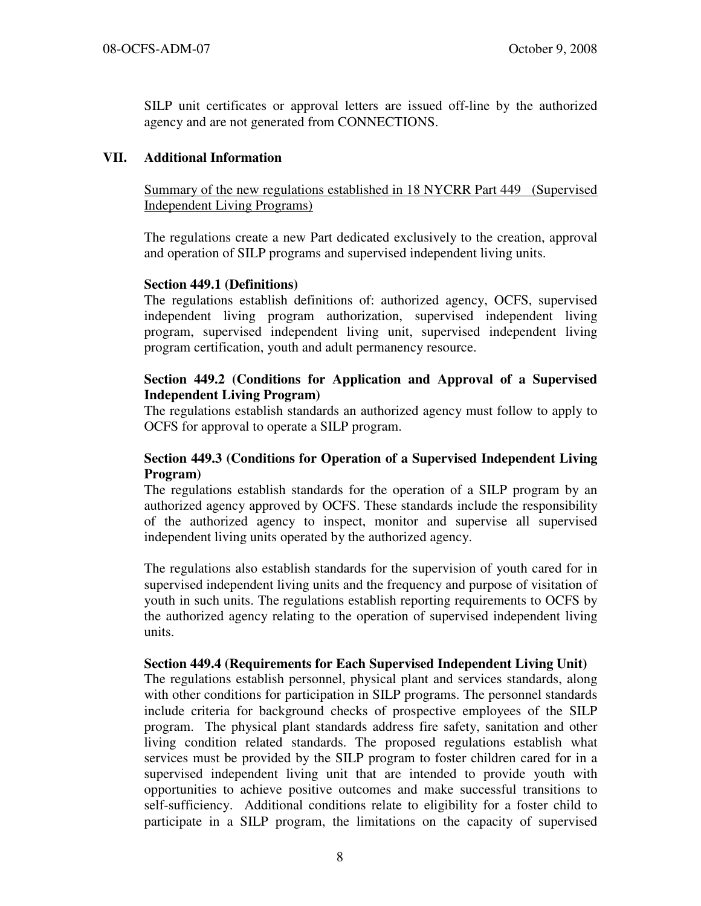SILP unit certificates or approval letters are issued off-line by the authorized agency and are not generated from CONNECTIONS.

## VII. Additional Information

Summary of the new regulations established in 18 NYCRR Part 449 (Supervised Independent Living Programs)

The regulations create a new Part dedicated exclusively to the creation, approval and operation of SILP programs and supervised independent living units.

### Section 449.1 (Definitions)

The regulations establish definitions of: authorized agency, OCFS, supervised independent living program authorization, supervised independent living program, supervised independent living unit, supervised independent living program certification, youth and adult permanency resource.

## Section 449.2 (Conditions for Application and Approval of a Supervised Independent Living Program)

The regulations establish standards an authorized agency must follow to apply to OCFS for approval to operate a SILP program.

## Section 449.3 (Conditions for Operation of a Supervised Independent Living Program)

The regulations establish standards for the operation of a SILP program by an authorized agency approved by OCFS. These standards include the responsibility of the authorized agency to inspect, monitor and supervise all supervised independent living units operated by the authorized agency.

The regulations also establish standards for the supervision of youth cared for in supervised independent living units and the frequency and purpose of visitation of youth in such units. The regulations establish reporting requirements to OCFS by the authorized agency relating to the operation of supervised independent living units.

## Section 449.4 (Requirements for Each Supervised Independent Living Unit)

The regulations establish personnel, physical plant and services standards, along with other conditions for participation in SILP programs. The personnel standards include criteria for background checks of prospective employees of the SILP program. The physical plant standards address fire safety, sanitation and other living condition related standards. The proposed regulations establish what services must be provided by the SILP program to foster children cared for in a supervised independent living unit that are intended to provide youth with opportunities to achieve positive outcomes and make successful transitions to self-sufficiency. Additional conditions relate to eligibility for a foster child to participate in a SILP program, the limitations on the capacity of supervised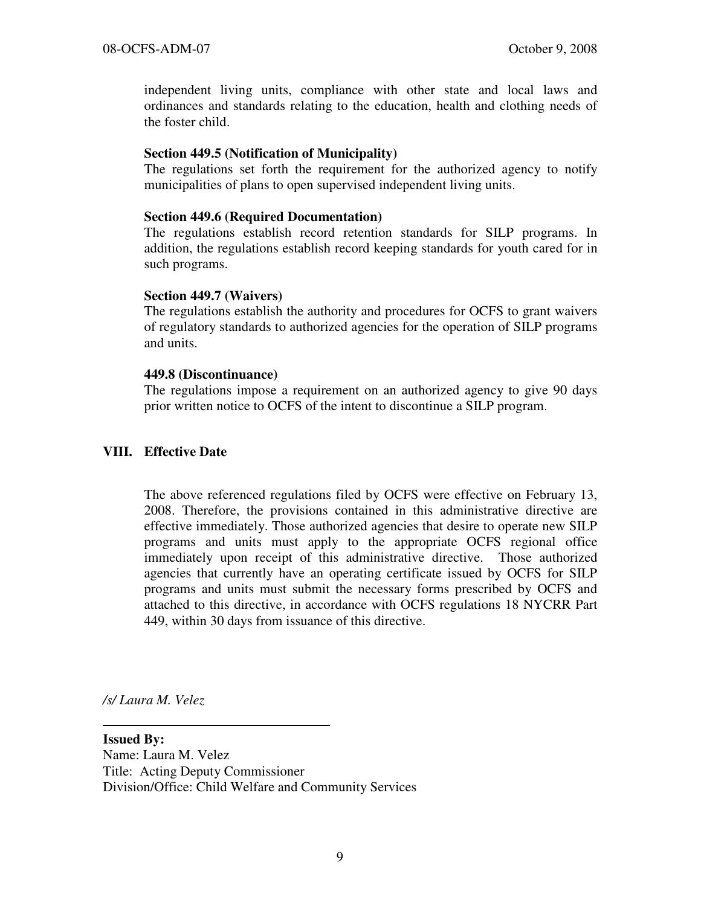independent living units, compliance with other state and local laws and ordinances and standards relating to the education, health and clothing needs of the foster child.

## Section 449.5 (Notification of Municipality)

The regulations set forth the requirement for the authorized agency to notify municipalities of plans to open supervised independent living units.

## Section 449.6 (Required Documentation)

The regulations establish record retention standards for SILP programs. In addition, the regulations establish record keeping standards for youth cared for in such programs.

### Section 449.7 (Waivers)

The regulations establish the authority and procedures for OCFS to grant waivers of regulatory standards to authorized agencies for the operation of SILP programs and units.

### 449.8 (Discontinuance)

The regulations impose a requirement on an authorized agency to give 90 days prior written notice to OCFS of the intent to discontinue a SILP program.

## VIII. Effective Date

The above referenced regulations filed by OCFS were effective on February 13, 2008. Therefore, the provisions contained in this administrative directive are effective immediately. Those authorized agencies that desire to operate new SILP programs and units must apply to the appropriate OCFS regional office immediately upon receipt of this administrative directive. Those authorized agencies that currently have an operating certificate issued by OCFS for SILP programs and units must submit the necessary forms prescribed by OCFS and attached to this directive, in accordance with OCFS regulations 18 NYCRR Part 449, within 30 days from issuance of this directive.

/s/ Laura M. Velez

Issued By: Name: Laura M. Velez Title: Acting Deputy Commissioner Division/Office: Child Welfare and Community Services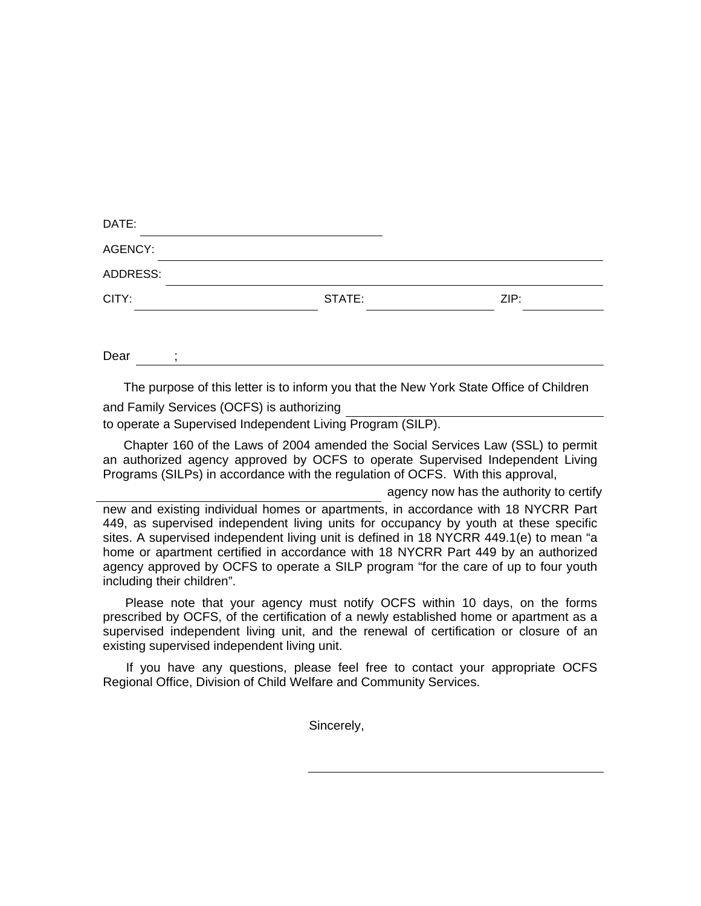| DATE:    |        |      |  |
|----------|--------|------|--|
| AGENCY:  |        |      |  |
| ADDRESS: |        |      |  |
| CITY:    | STATE: | ZIP: |  |
|          |        |      |  |

The purpose of this letter is to inform you that the New York State Office of Children

and Family Services (OCFS) is authorizing

Dear

to operate a Supervised Independent Living Program (SILP).

Chapter 160 of the Laws of 2004 amended the Social Services Law (SSL) to permit an authorized agency approved by OCFS to operate Supervised Independent Living Programs (SILPs) in accordance with the regulation of OCFS. With this approval,

 agency now has the authority to certify new and existing individual homes or apartments, in accordance with 18 NYCRR Part 449, as supervised independent living units for occupancy by youth at these specific sites. A supervised independent living unit is defined in 18 NYCRR 449.1(e) to mean "a home or apartment certified in accordance with 18 NYCRR Part 449 by an authorized agency approved by OCFS to operate a SILP program "for the care of up to four youth including their children".

Please note that your agency must notify OCFS within 10 days, on the forms prescribed by OCFS, of the certification of a newly established home or apartment as a supervised independent living unit, and the renewal of certification or closure of an existing supervised independent living unit.

If you have any questions, please feel free to contact your appropriate OCFS Regional Office, Division of Child Welfare and Community Services.

Sincerely,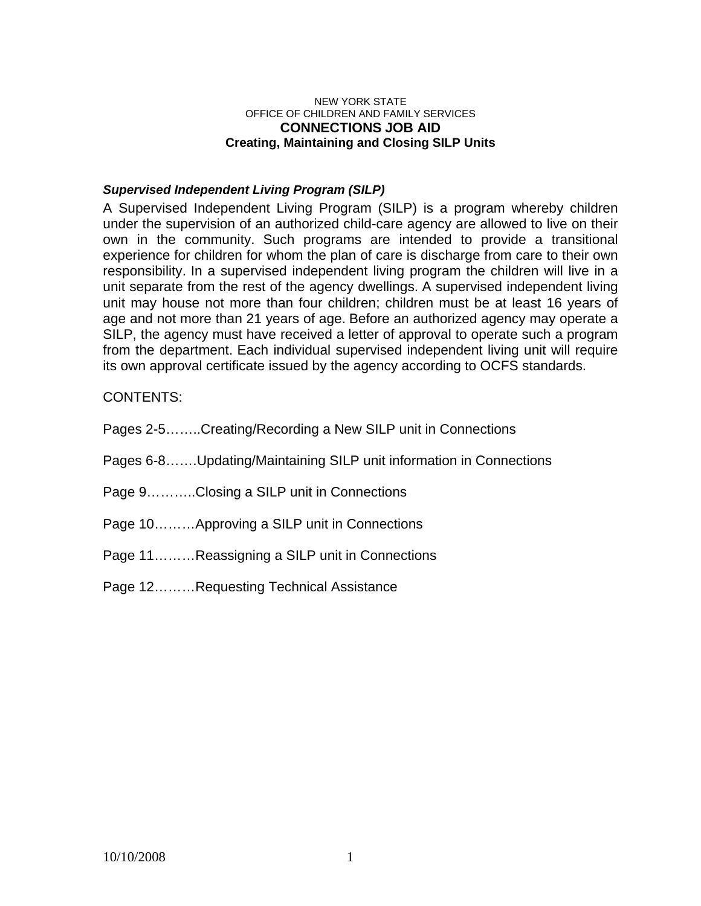### NEW YORK STATE OFFICE OF CHILDREN AND FAMILY SERVICES **CONNECTIONS JOB AID Creating, Maintaining and Closing SILP Units**

## *Supervised Independent Living Program (SILP)*

A Supervised Independent Living Program (SILP) is a program whereby children under the supervision of an authorized child-care agency are allowed to live on their own in the community. Such programs are intended to provide a transitional experience for children for whom the plan of care is discharge from care to their own responsibility. In a supervised independent living program the children will live in a unit separate from the rest of the agency dwellings. A supervised independent living unit may house not more than four children; children must be at least 16 years of age and not more than 21 years of age. Before an authorized agency may operate a SILP, the agency must have received a letter of approval to operate such a program from the department. Each individual supervised independent living unit will require its own approval certificate issued by the agency according to OCFS standards.

## CONTENTS:

Pages 2-5……..Creating/Recording a New SILP unit in Connections

- Pages 6-8…….Updating/Maintaining SILP unit information in Connections
- Page 9………..Closing a SILP unit in Connections
- Page 10………Approving a SILP unit in Connections
- Page 11………Reassigning a SILP unit in Connections
- Page 12………Requesting Technical Assistance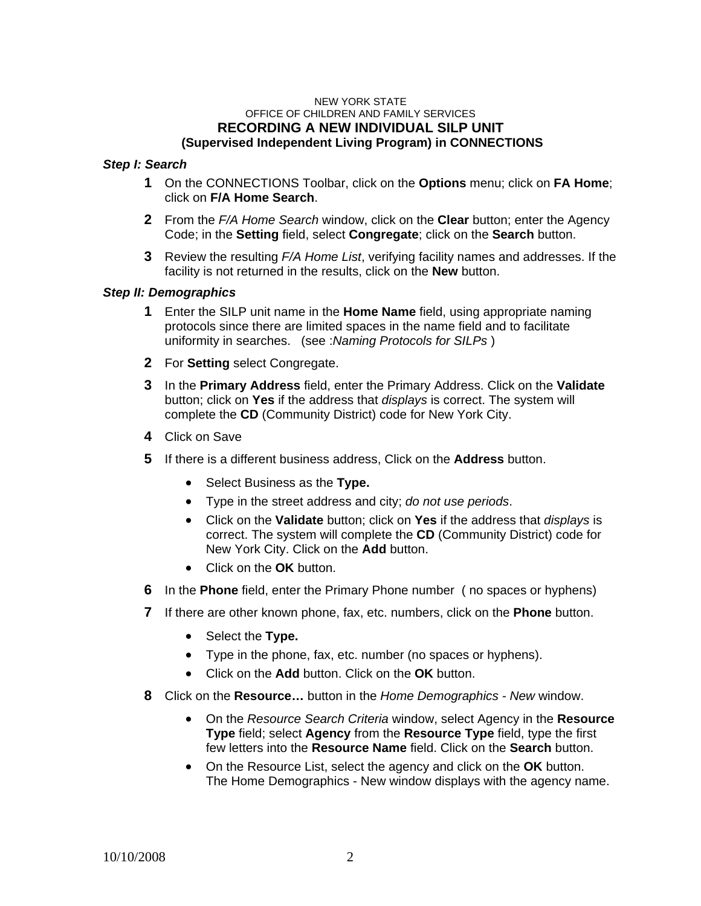#### NEW YORK STATE OFFICE OF CHILDREN AND FAMILY SERVICES **RECORDING A NEW INDIVIDUAL SILP UNIT (Supervised Independent Living Program) in CONNECTIONS**

## *Step I: Search*

- **1** On the CONNECTIONS Toolbar, click on the **Options** menu; click on **FA Home**; click on **F/A Home Search**.
- **2** From the *F/A Home Search* window, click on the **Clear** button; enter the Agency Code; in the **Setting** field, select **Congregate**; click on the **Search** button.
- **3** Review the resulting *F/A Home List*, verifying facility names and addresses. If the facility is not returned in the results, click on the **New** button.

### *Step II: Demographics*

- **1** Enter the SILP unit name in the **Home Name** field, using appropriate naming protocols since there are limited spaces in the name field and to facilitate uniformity in searches. (see :*Naming Protocols for SILPs* )
- **2** For **Setting** select Congregate.
- **3** In the **Primary Address** field, enter the Primary Address. Click on the **Validate** button; click on **Yes** if the address that *displays* is correct. The system will complete the **CD** (Community District) code for New York City.
- **4** Click on Save
- **5** If there is a different business address, Click on the **Address** button.
	- Select Business as the **Type.**
	- Type in the street address and city; *do not use periods*.
	- Click on the **Validate** button; click on **Yes** if the address that *displays* is correct. The system will complete the **CD** (Community District) code for New York City. Click on the **Add** button.
	- Click on the **OK** button.
- **6** In the **Phone** field, enter the Primary Phone number ( no spaces or hyphens)
- **7** If there are other known phone, fax, etc. numbers, click on the **Phone** button.
	- Select the **Type.**
	- Type in the phone, fax, etc. number (no spaces or hyphens).
	- Click on the **Add** button. Click on the **OK** button.
- **8** Click on the **Resource…** button in the *Home Demographics New* window.
	- On the *Resource Search Criteria* window, select Agency in the **Resource Type** field; select **Agency** from the **Resource Type** field, type the first few letters into the **Resource Name** field. Click on the **Search** button.
	- On the Resource List, select the agency and click on the **OK** button. The Home Demographics - New window displays with the agency name.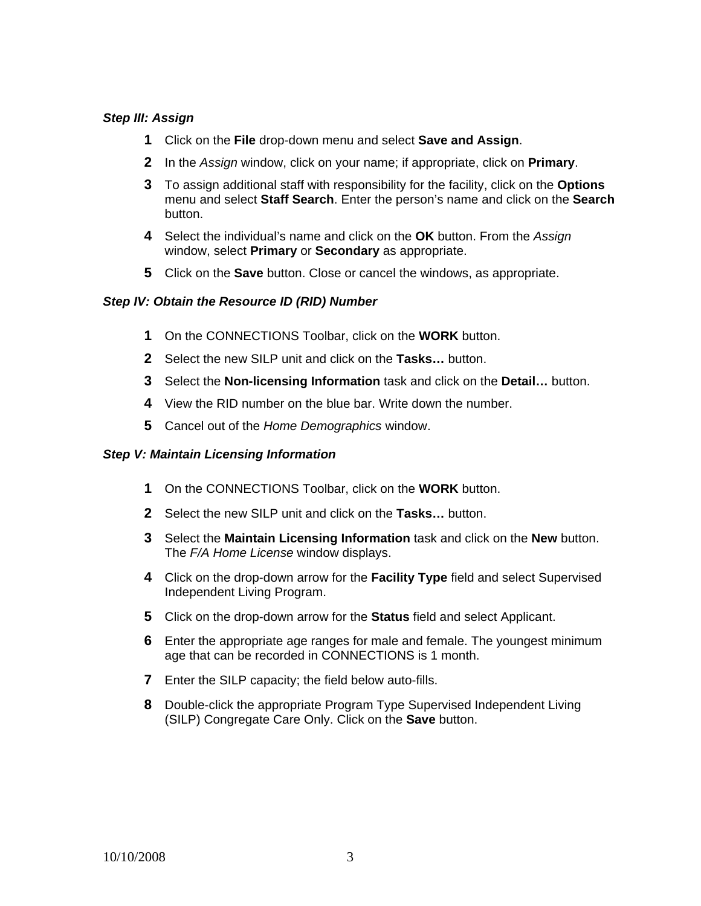## *Step III: Assign*

- Click on the **File** drop-down menu and select **Save and Assign**.
- In the *Assign* window, click on your name; if appropriate, click on **Primary**.
- To assign additional staff with responsibility for the facility, click on the **Options** menu and select **Staff Search**. Enter the person's name and click on the **Search** button.
- Select the individual's name and click on the **OK** button. From the *Assign* window, select **Primary** or **Secondary** as appropriate.
- Click on the **Save** button. Close or cancel the windows, as appropriate.

## *Step IV: Obtain the Resource ID (RID) Number*

- On the CONNECTIONS Toolbar, click on the **WORK** button.
- Select the new SILP unit and click on the **Tasks…** button.
- Select the **Non-licensing Information** task and click on the **Detail…** button.
- View the RID number on the blue bar. Write down the number.
- Cancel out of the *Home Demographics* window.

#### *Step V: Maintain Licensing Information*

- On the CONNECTIONS Toolbar, click on the **WORK** button.
- Select the new SILP unit and click on the **Tasks…** button.
- Select the **Maintain Licensing Information** task and click on the **New** button. The *F/A Home License* window displays.
- Click on the drop-down arrow for the **Facility Type** field and select Supervised Independent Living Program.
- Click on the drop-down arrow for the **Status** field and select Applicant.
- Enter the appropriate age ranges for male and female. The youngest minimum age that can be recorded in CONNECTIONS is 1 month.
- Enter the SILP capacity; the field below auto-fills.
- Double-click the appropriate Program Type Supervised Independent Living (SILP) Congregate Care Only. Click on the **Save** button.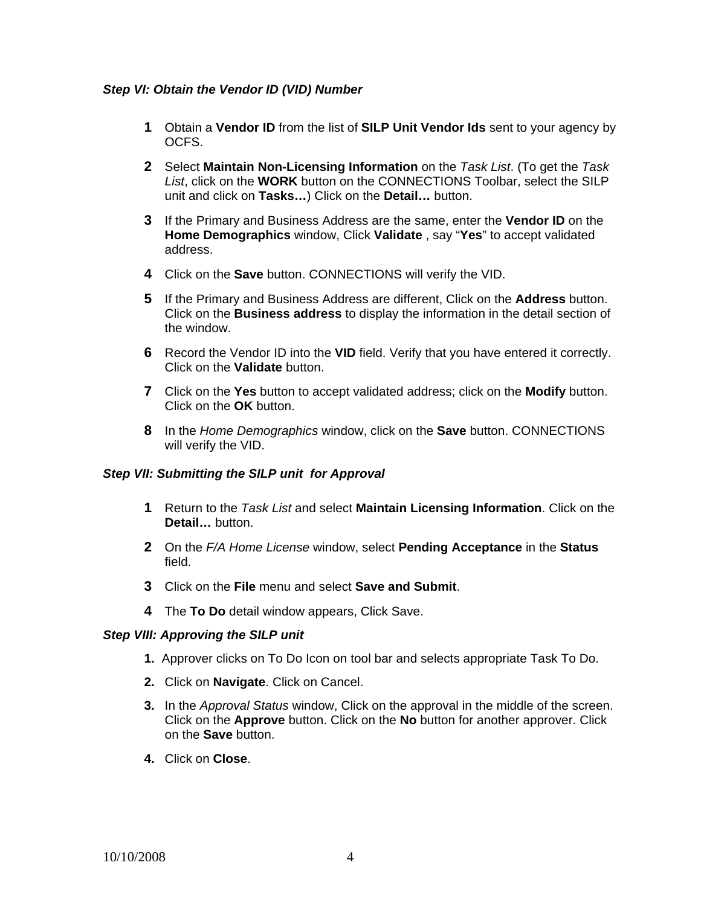### *Step VI: Obtain the Vendor ID (VID) Number*

- **1** Obtain a **Vendor ID** from the list of **SILP Unit Vendor Ids** sent to your agency by OCFS.
- **2** Select **Maintain Non-Licensing Information** on the *Task List*. (To get the *Task List*, click on the **WORK** button on the CONNECTIONS Toolbar, select the SILP unit and click on **Tasks…**) Click on the **Detail…** button.
- **3** If the Primary and Business Address are the same, enter the **Vendor ID** on the **Home Demographics** window, Click **Validate** , say "**Yes**" to accept validated address.
- **4** Click on the **Save** button. CONNECTIONS will verify the VID.
- **5** If the Primary and Business Address are different, Click on the **Address** button. Click on the **Business address** to display the information in the detail section of the window.
- **6** Record the Vendor ID into the **VID** field. Verify that you have entered it correctly. Click on the **Validate** button.
- **7** Click on the **Yes** button to accept validated address; click on the **Modify** button. Click on the **OK** button.
- **8** In the *Home Demographics* window, click on the **Save** button. CONNECTIONS will verify the VID.

#### *Step VII: Submitting the SILP unit for Approval*

- **1** Return to the *Task List* and select **Maintain Licensing Information**. Click on the **Detail…** button.
- **2** On the *F/A Home License* window, select **Pending Acceptance** in the **Status** field.
- **3** Click on the **File** menu and select **Save and Submit**.
- **4** The **To Do** detail window appears, Click Save.

## *Step VIII: Approving the SILP unit*

- **1.** Approver clicks on To Do Icon on tool bar and selects appropriate Task To Do.
- **2.** Click on **Navigate**. Click on Cancel.
- **3.** In the *Approval Status* window, Click on the approval in the middle of the screen. Click on the **Approve** button. Click on the **No** button for another approver. Click on the **Save** button.
- **4.** Click on **Close**.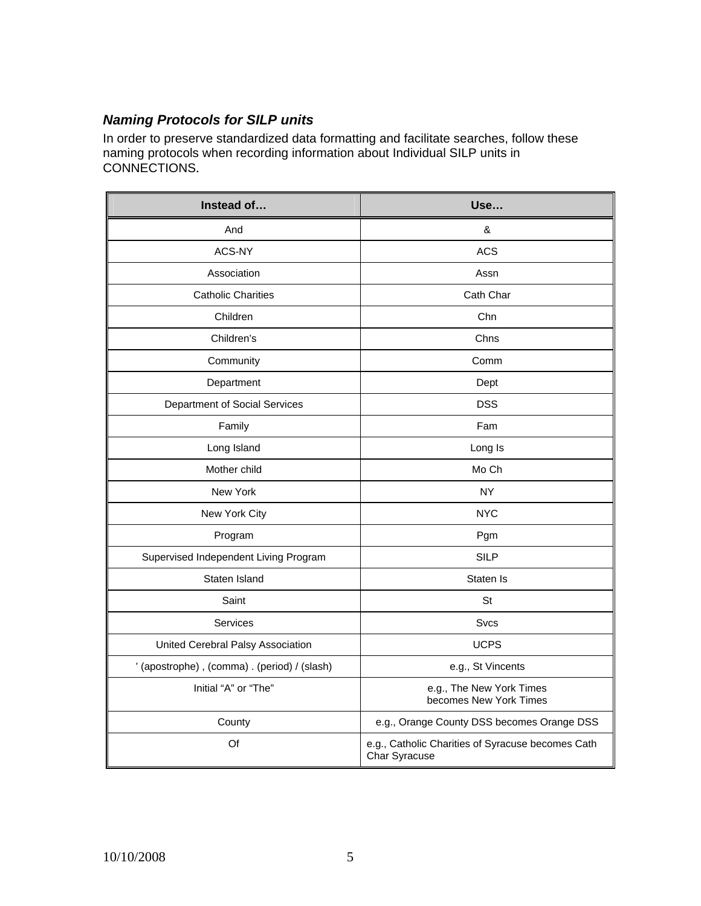# *Naming Protocols for SILP units*

In order to preserve standardized data formatting and facilitate searches, follow these naming protocols when recording information about Individual SILP units in CONNECTIONS.

| Instead of                                  | Use                                                                |
|---------------------------------------------|--------------------------------------------------------------------|
| And                                         | &                                                                  |
| ACS-NY                                      | <b>ACS</b>                                                         |
| Association                                 | Assn                                                               |
| <b>Catholic Charities</b>                   | Cath Char                                                          |
| Children                                    | Chn                                                                |
| Children's                                  | Chns                                                               |
| Community                                   | Comm                                                               |
| Department                                  | Dept                                                               |
| Department of Social Services               | <b>DSS</b>                                                         |
| Family                                      | Fam                                                                |
| Long Island                                 | Long Is                                                            |
| Mother child                                | Mo Ch                                                              |
| New York                                    | <b>NY</b>                                                          |
| New York City                               | <b>NYC</b>                                                         |
| Program                                     | Pgm                                                                |
| Supervised Independent Living Program       | <b>SILP</b>                                                        |
| Staten Island                               | Staten Is                                                          |
| Saint                                       | <b>St</b>                                                          |
| <b>Services</b>                             | <b>Svcs</b>                                                        |
| United Cerebral Palsy Association           | <b>UCPS</b>                                                        |
| ' (apostrophe), (comma). (period) / (slash) | e.g., St Vincents                                                  |
| Initial "A" or "The"                        | e.g., The New York Times<br>becomes New York Times                 |
| County                                      | e.g., Orange County DSS becomes Orange DSS                         |
| Of                                          | e.g., Catholic Charities of Syracuse becomes Cath<br>Char Syracuse |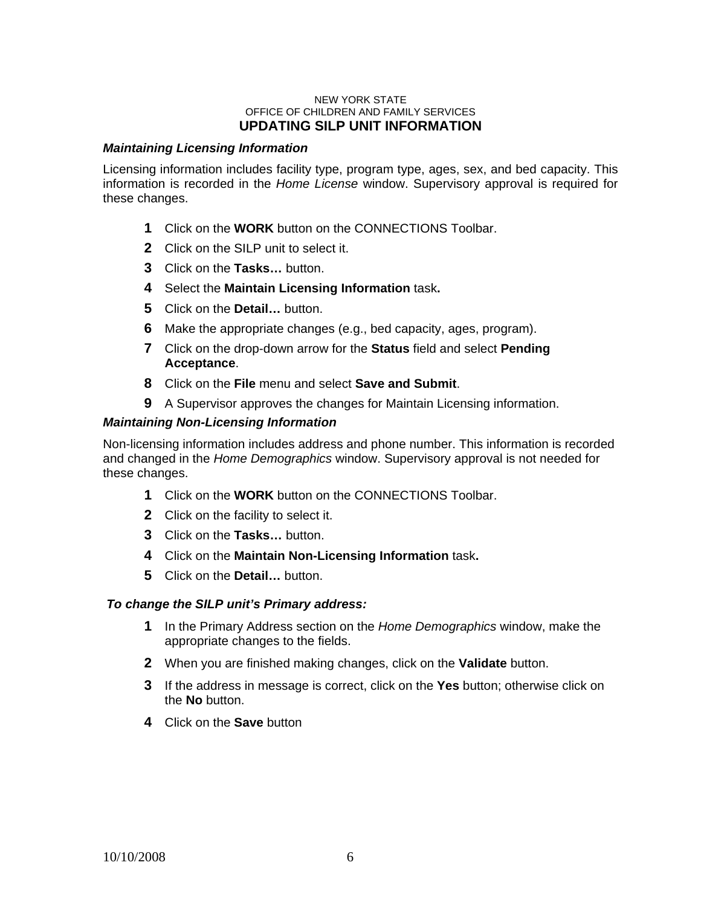#### NEW YORK STATE OFFICE OF CHILDREN AND FAMILY SERVICES **UPDATING SILP UNIT INFORMATION**

#### *Maintaining Licensing Information*

Licensing information includes facility type, program type, ages, sex, and bed capacity. This information is recorded in the *Home License* window. Supervisory approval is required for these changes.

- **1** Click on the **WORK** button on the CONNECTIONS Toolbar.
- **2** Click on the SILP unit to select it.
- **3** Click on the **Tasks…** button.
- **4** Select the **Maintain Licensing Information** task**.**
- **5** Click on the **Detail…** button.
- **6** Make the appropriate changes (e.g., bed capacity, ages, program).
- **7** Click on the drop-down arrow for the **Status** field and select **Pending Acceptance**.
- **8** Click on the **File** menu and select **Save and Submit**.
- **9** A Supervisor approves the changes for Maintain Licensing information.

#### *Maintaining Non-Licensing Information*

Non-licensing information includes address and phone number. This information is recorded and changed in the *Home Demographics* window. Supervisory approval is not needed for these changes.

- **1** Click on the **WORK** button on the CONNECTIONS Toolbar.
- **2** Click on the facility to select it.
- **3** Click on the **Tasks…** button.
- **4** Click on the **Maintain Non-Licensing Information** task**.**
- **5** Click on the **Detail…** button.

#### *To change the SILP unit's Primary address:*

- **1** In the Primary Address section on the *Home Demographics* window, make the appropriate changes to the fields.
- **2** When you are finished making changes, click on the **Validate** button.
- **3** If the address in message is correct, click on the **Yes** button; otherwise click on the **No** button.
- **4** Click on the **Save** button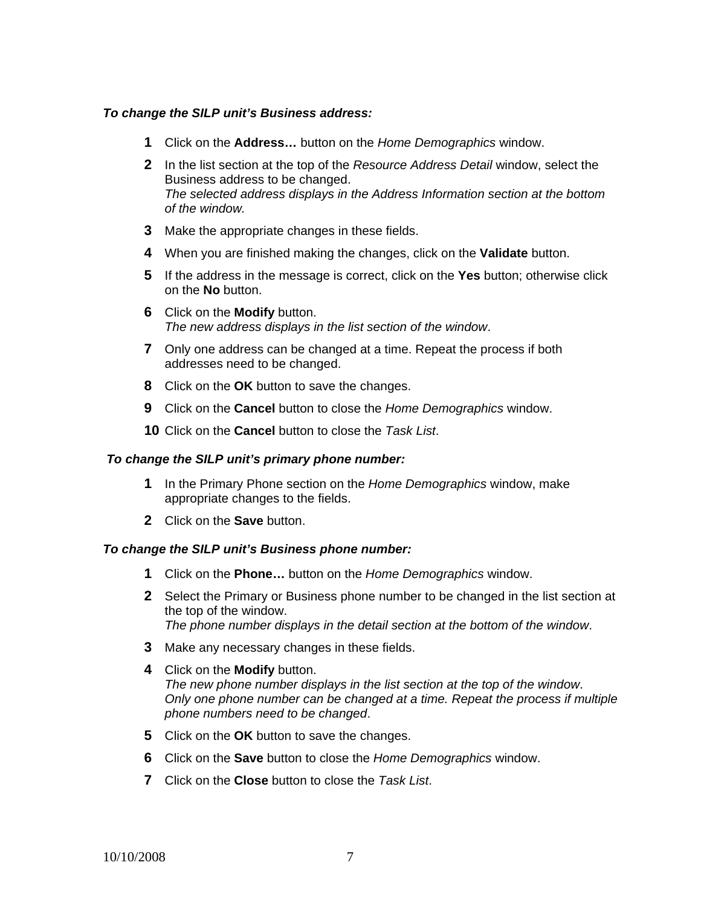#### *To change the SILP unit's Business address:*

- **1** Click on the **Address…** button on the *Home Demographics* window.
- **2** In the list section at the top of the *Resource Address Detail* window, select the Business address to be changed. *The selected address displays in the Address Information section at the bottom of the window.*
- **3** Make the appropriate changes in these fields.
- **4** When you are finished making the changes, click on the **Validate** button.
- **5** If the address in the message is correct, click on the **Yes** button; otherwise click on the **No** button.
- **6** Click on the **Modify** button. *The new address displays in the list section of the window*.
- **7** Only one address can be changed at a time. Repeat the process if both addresses need to be changed.
- **8** Click on the **OK** button to save the changes.
- **9** Click on the **Cancel** button to close the *Home Demographics* window.
- **10** Click on the **Cancel** button to close the *Task List*.

#### *To change the SILP unit's primary phone number:*

- **1** In the Primary Phone section on the *Home Demographics* window, make appropriate changes to the fields.
- **2** Click on the **Save** button.

#### *To change the SILP unit's Business phone number:*

- **1** Click on the **Phone…** button on the *Home Demographics* window.
- **2** Select the Primary or Business phone number to be changed in the list section at the top of the window. *The phone number displays in the detail section at the bottom of the window*.
- **3** Make any necessary changes in these fields.
- **4** Click on the **Modify** button. *The new phone number displays in the list section at the top of the window*. *Only one phone number can be changed at a time. Repeat the process if multiple phone numbers need to be changed*.
- **5** Click on the **OK** button to save the changes.
- **6** Click on the **Save** button to close the *Home Demographics* window.
- **7** Click on the **Close** button to close the *Task List*.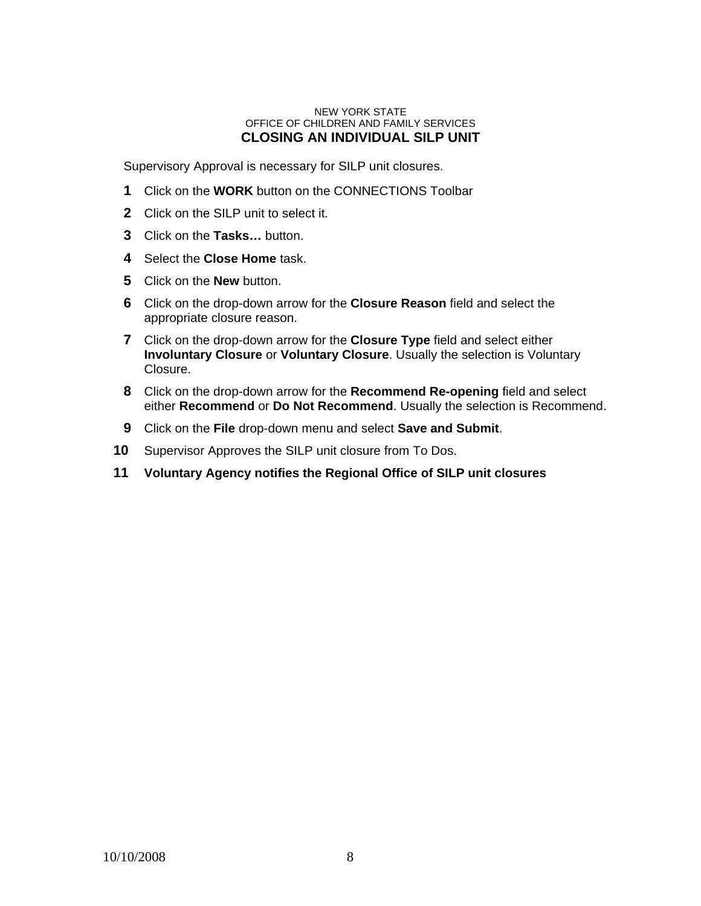#### NEW YORK STATE OFFICE OF CHILDREN AND FAMILY SERVICES **CLOSING AN INDIVIDUAL SILP UNIT**

Supervisory Approval is necessary for SILP unit closures.

- **1** Click on the **WORK** button on the CONNECTIONS Toolbar
- **2** Click on the SILP unit to select it.
- **3** Click on the **Tasks…** button.
- **4** Select the **Close Home** task.
- **5** Click on the **New** button.
- **6** Click on the drop-down arrow for the **Closure Reason** field and select the appropriate closure reason.
- **7** Click on the drop-down arrow for the **Closure Type** field and select either **Involuntary Closure** or **Voluntary Closure**. Usually the selection is Voluntary Closure.
- **8** Click on the drop-down arrow for the **Recommend Re-opening** field and select either **Recommend** or **Do Not Recommend**. Usually the selection is Recommend.
- **9** Click on the **File** drop-down menu and select **Save and Submit**.
- **10** Supervisor Approves the SILP unit closure from To Dos.
- **11 Voluntary Agency notifies the Regional Office of SILP unit closures**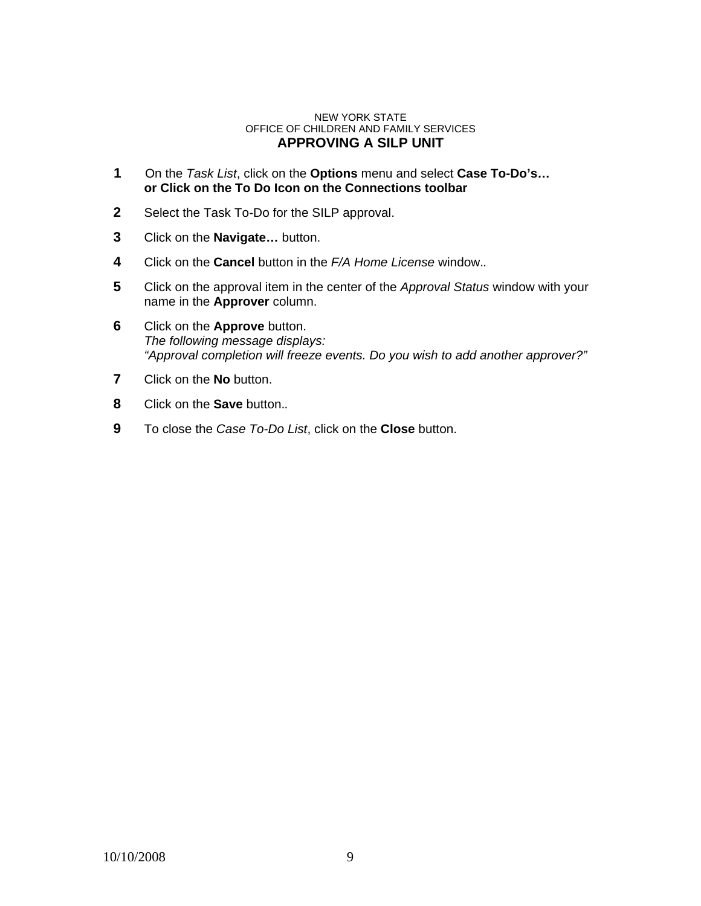#### NEW YORK STATE OFFICE OF CHILDREN AND FAMILY SERVICES **APPROVING A SILP UNIT**

- **1** On the *Task List*, click on the **Options** menu and select **Case To-Do's… or Click on the To Do Icon on the Connections toolbar**
- **2** Select the Task To-Do for the SILP approval.
- **3** Click on the **Navigate…** button.
- **4** Click on the **Cancel** button in the *F/A Home License* window.*.*
- **5** Click on the approval item in the center of the *Approval Status* window with your name in the **Approver** column.
- **6** Click on the **Approve** button. *The following message displays: "Approval completion will freeze events. Do you wish to add another approver?"*
- **7** Click on the **No** button.
- **8** Click on the **Save** button.*.*
- **9** To close the *Case To-Do List*, click on the **Close** button.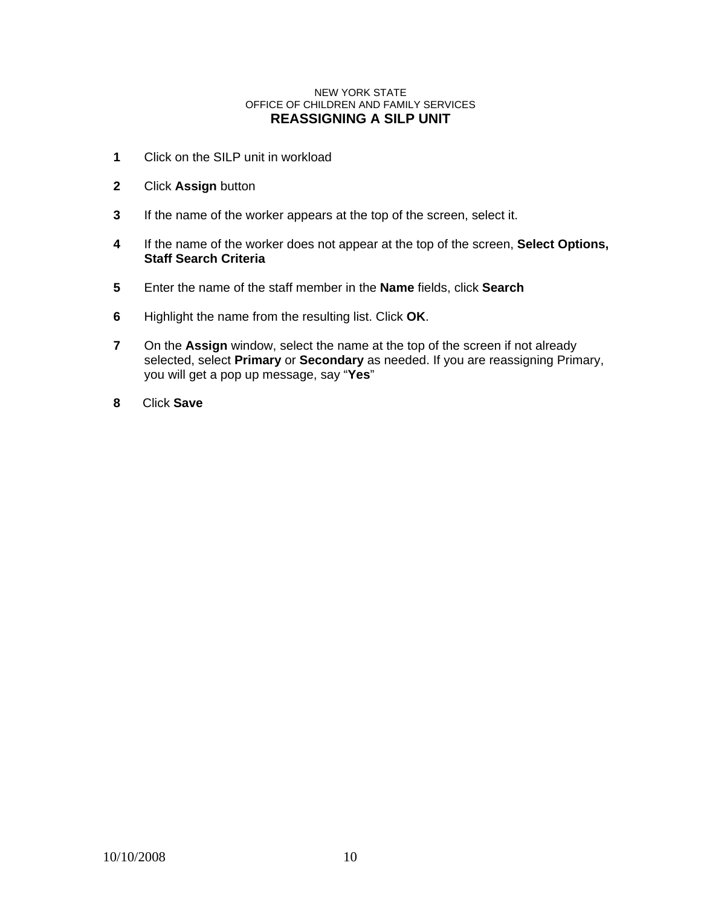#### NEW YORK STATE OFFICE OF CHILDREN AND FAMILY SERVICES **REASSIGNING A SILP UNIT**

- **1** Click on the SILP unit in workload
- **2** Click **Assign** button
- **3** If the name of the worker appears at the top of the screen, select it.
- **4** If the name of the worker does not appear at the top of the screen, **Select Options, Staff Search Criteria**
- **5** Enter the name of the staff member in the **Name** fields, click **Search**
- **6** Highlight the name from the resulting list. Click **OK**.
- **7** On the **Assign** window, select the name at the top of the screen if not already selected, select **Primary** or **Secondary** as needed. If you are reassigning Primary, you will get a pop up message, say "**Yes**"
- **8** Click **Save**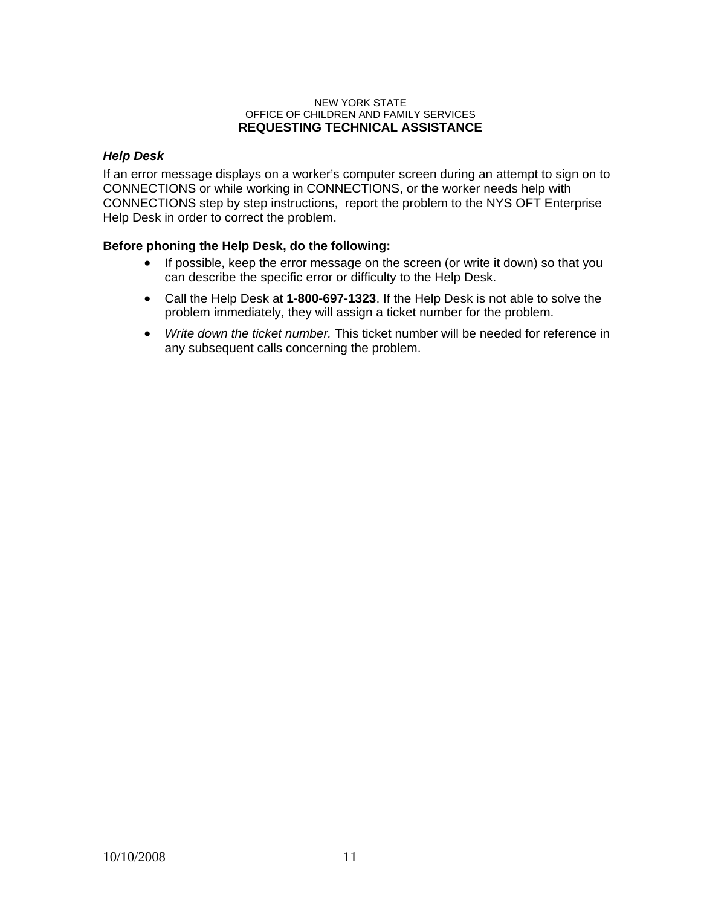#### NEW YORK STATE OFFICE OF CHILDREN AND FAMILY SERVICES **REQUESTING TECHNICAL ASSISTANCE**

## *Help Desk*

If an error message displays on a worker's computer screen during an attempt to sign on to CONNECTIONS or while working in CONNECTIONS, or the worker needs help with CONNECTIONS step by step instructions, report the problem to the NYS OFT Enterprise Help Desk in order to correct the problem.

## **Before phoning the Help Desk, do the following:**

- If possible, keep the error message on the screen (or write it down) so that you can describe the specific error or difficulty to the Help Desk.
- Call the Help Desk at **1-800-697-1323**. If the Help Desk is not able to solve the problem immediately, they will assign a ticket number for the problem.
- *Write down the ticket number.* This ticket number will be needed for reference in any subsequent calls concerning the problem.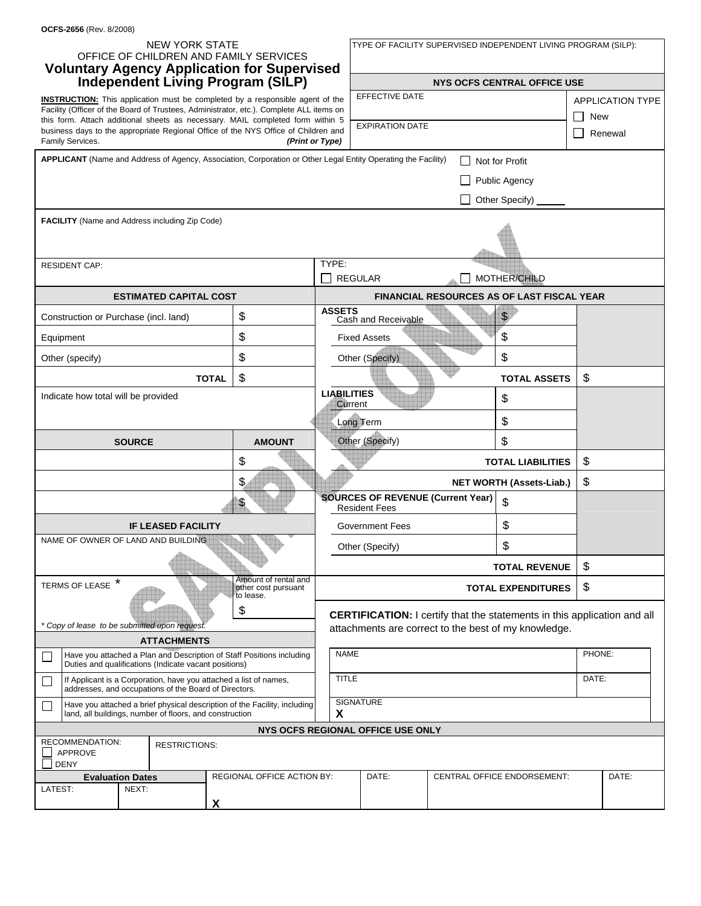| <b>NEW YORK STATE</b><br>OFFICE OF CHILDREN AND FAMILY SERVICES<br><b>Voluntary Agency Application for Supervised</b><br><b>Independent Living Program (SILP)</b>               |                                           |               |                                                       | TYPE OF FACILITY SUPERVISED INDEPENDENT LIVING PROGRAM (SILP): |                                                                                    |                                    |                                                                                                               |                         |                                                                                 |                     |         |
|---------------------------------------------------------------------------------------------------------------------------------------------------------------------------------|-------------------------------------------|---------------|-------------------------------------------------------|----------------------------------------------------------------|------------------------------------------------------------------------------------|------------------------------------|---------------------------------------------------------------------------------------------------------------|-------------------------|---------------------------------------------------------------------------------|---------------------|---------|
|                                                                                                                                                                                 |                                           |               |                                                       |                                                                |                                                                                    |                                    |                                                                                                               |                         |                                                                                 |                     |         |
|                                                                                                                                                                                 |                                           |               |                                                       | EFFECTIVE DATE                                                 |                                                                                    | <b>NYS OCFS CENTRAL OFFICE USE</b> |                                                                                                               |                         |                                                                                 |                     |         |
| <b>INSTRUCTION:</b> This application must be completed by a responsible agent of the<br>Facility (Officer of the Board of Trustees, Administrator, etc.). Complete ALL items on |                                           |               |                                                       |                                                                |                                                                                    |                                    |                                                                                                               | <b>APPLICATION TYPE</b> |                                                                                 |                     |         |
|                                                                                                                                                                                 |                                           |               |                                                       |                                                                | this form. Attach additional sheets as necessary. MAIL completed form within 5     |                                    | <b>EXPIRATION DATE</b>                                                                                        |                         |                                                                                 | New<br>$\mathsf{L}$ |         |
|                                                                                                                                                                                 | Family Services.                          |               |                                                       |                                                                | business days to the appropriate Regional Office of the NYS Office of Children and | (Print or Type)                    |                                                                                                               |                         |                                                                                 |                     | Renewal |
|                                                                                                                                                                                 |                                           |               |                                                       |                                                                |                                                                                    |                                    | APPLICANT (Name and Address of Agency, Association, Corporation or Other Legal Entity Operating the Facility) |                         | Not for Profit                                                                  |                     |         |
|                                                                                                                                                                                 |                                           |               |                                                       |                                                                |                                                                                    |                                    |                                                                                                               |                         | <b>Public Agency</b>                                                            |                     |         |
|                                                                                                                                                                                 |                                           |               |                                                       |                                                                |                                                                                    |                                    |                                                                                                               |                         | Other Specify) __                                                               |                     |         |
|                                                                                                                                                                                 |                                           |               | <b>FACILITY</b> (Name and Address including Zip Code) |                                                                |                                                                                    |                                    |                                                                                                               |                         |                                                                                 |                     |         |
|                                                                                                                                                                                 |                                           |               |                                                       |                                                                |                                                                                    |                                    |                                                                                                               |                         |                                                                                 |                     |         |
|                                                                                                                                                                                 | <b>RESIDENT CAP:</b>                      |               |                                                       |                                                                |                                                                                    | TYPE:                              |                                                                                                               |                         |                                                                                 |                     |         |
|                                                                                                                                                                                 |                                           |               |                                                       |                                                                |                                                                                    |                                    | <b>REGULAR</b>                                                                                                |                         | MOTHER/CHILD                                                                    |                     |         |
|                                                                                                                                                                                 |                                           |               | <b>ESTIMATED CAPITAL COST</b>                         |                                                                |                                                                                    |                                    |                                                                                                               |                         | FINANCIAL RESOURCES AS OF LAST FISCAL YEAR                                      |                     |         |
|                                                                                                                                                                                 | Construction or Purchase (incl. land)     |               |                                                       |                                                                | \$                                                                                 | <b>ASSETS</b>                      | Cash and Receivable                                                                                           |                         | $\mathbb{S}$                                                                    |                     |         |
|                                                                                                                                                                                 | Equipment                                 |               |                                                       |                                                                | \$                                                                                 |                                    | <b>Fixed Assets</b>                                                                                           |                         | \$                                                                              |                     |         |
|                                                                                                                                                                                 | Other (specify)                           |               |                                                       |                                                                | \$                                                                                 |                                    | Other (Specify)                                                                                               |                         | \$                                                                              |                     |         |
|                                                                                                                                                                                 |                                           |               |                                                       | <b>TOTAL</b>                                                   | \$                                                                                 |                                    |                                                                                                               |                         | <b>TOTAL ASSETS</b>                                                             | \$                  |         |
|                                                                                                                                                                                 | Indicate how total will be provided       |               |                                                       |                                                                |                                                                                    | <b>LIABILITIES</b><br>Current      |                                                                                                               |                         | \$                                                                              |                     |         |
|                                                                                                                                                                                 |                                           |               |                                                       |                                                                |                                                                                    |                                    | <b>Long Term</b>                                                                                              |                         | \$                                                                              |                     |         |
|                                                                                                                                                                                 |                                           | <b>SOURCE</b> |                                                       |                                                                | <b>AMOUNT</b>                                                                      |                                    | Other (Specify)                                                                                               |                         | \$                                                                              |                     |         |
|                                                                                                                                                                                 |                                           |               |                                                       |                                                                | \$                                                                                 |                                    |                                                                                                               |                         | <b>TOTAL LIABILITIES</b>                                                        | \$                  |         |
|                                                                                                                                                                                 |                                           |               |                                                       |                                                                | \$                                                                                 |                                    |                                                                                                               |                         | <b>NET WORTH (Assets-Liab.)</b>                                                 | \$                  |         |
|                                                                                                                                                                                 |                                           |               |                                                       |                                                                | \$                                                                                 |                                    | <b>SOURCES OF REVENUE (Current Year)</b><br><b>Resident Fees</b>                                              |                         | \$                                                                              |                     |         |
|                                                                                                                                                                                 |                                           |               | <b>IF LEASED FACILITY</b>                             |                                                                |                                                                                    |                                    | Government Fees                                                                                               |                         | \$                                                                              |                     |         |
|                                                                                                                                                                                 |                                           |               | NAME OF OWNER OF LAND AND BUILDING                    |                                                                |                                                                                    |                                    | Other (Specify)                                                                                               |                         | \$                                                                              |                     |         |
|                                                                                                                                                                                 |                                           |               |                                                       |                                                                |                                                                                    |                                    |                                                                                                               |                         | <b>TOTAL REVENUE</b>                                                            | \$                  |         |
|                                                                                                                                                                                 | TERMS OF LEASE *                          |               |                                                       |                                                                | Amount of rental and<br>other cost pursuant<br>to lease.                           |                                    |                                                                                                               |                         | <b>TOTAL EXPENDITURES</b>                                                       | \$                  |         |
|                                                                                                                                                                                 |                                           |               |                                                       |                                                                | \$                                                                                 |                                    |                                                                                                               |                         | <b>CERTIFICATION:</b> I certify that the statements in this application and all |                     |         |
|                                                                                                                                                                                 |                                           |               | * Copy of lease to be submitted upon request.         |                                                                |                                                                                    |                                    |                                                                                                               |                         | attachments are correct to the best of my knowledge.                            |                     |         |
|                                                                                                                                                                                 |                                           |               | <b>ATTACHMENTS</b>                                    |                                                                |                                                                                    |                                    |                                                                                                               |                         |                                                                                 |                     |         |
| Have you attached a Plan and Description of Staff Positions including<br>Duties and qualifications (Indicate vacant positions)                                                  |                                           |               | <b>NAME</b>                                           |                                                                |                                                                                    |                                    | PHONE:                                                                                                        |                         |                                                                                 |                     |         |
| If Applicant is a Corporation, have you attached a list of names,<br>addresses, and occupations of the Board of Directors.                                                      |                                           |               | <b>TITLE</b>                                          |                                                                |                                                                                    |                                    | DATE:                                                                                                         |                         |                                                                                 |                     |         |
| Have you attached a brief physical description of the Facility, including<br>land, all buildings, number of floors, and construction                                            |                                           |               | X                                                     | <b>SIGNATURE</b>                                               |                                                                                    |                                    |                                                                                                               |                         |                                                                                 |                     |         |
|                                                                                                                                                                                 |                                           |               |                                                       |                                                                |                                                                                    | NYS OCFS REGIONAL OFFICE USE ONLY  |                                                                                                               |                         |                                                                                 |                     |         |
|                                                                                                                                                                                 | RECOMMENDATION:<br>APPROVE<br><b>DENY</b> |               | <b>RESTRICTIONS:</b>                                  |                                                                |                                                                                    |                                    |                                                                                                               |                         |                                                                                 |                     |         |
|                                                                                                                                                                                 | <b>Evaluation Dates</b>                   |               |                                                       |                                                                | REGIONAL OFFICE ACTION BY:                                                         |                                    | DATE:                                                                                                         |                         | CENTRAL OFFICE ENDORSEMENT:                                                     |                     | DATE:   |
| LATEST:                                                                                                                                                                         |                                           | NEXT:         |                                                       |                                                                |                                                                                    |                                    |                                                                                                               |                         |                                                                                 |                     |         |
|                                                                                                                                                                                 |                                           |               |                                                       | X                                                              |                                                                                    |                                    |                                                                                                               |                         |                                                                                 |                     |         |

**OCFS-2656** (Rev. 8/2008)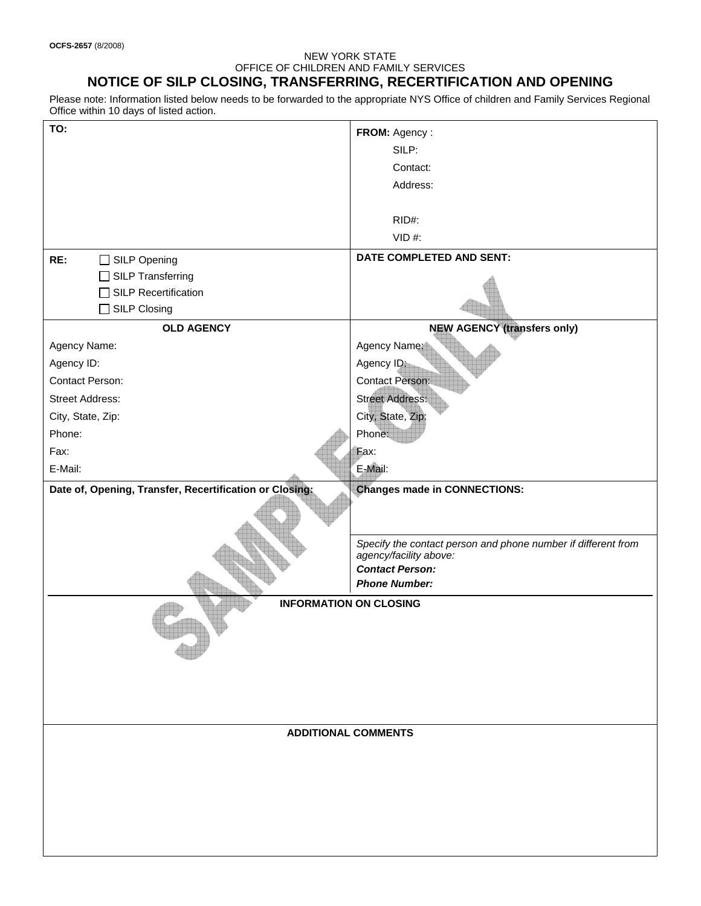# NEW YORK STATE OFFICE OF CHILDREN AND FAMILY SERVICES

# **NOTICE OF SILP CLOSING, TRANSFERRING, RECERTIFICATION AND OPENING**  Please note: Information listed below needs to be forwarded to the appropriate NYS Office of children and Family Services Regional

Office within 10 days of listed action.

| TO:                                                     | FROM: Agency:                                                                           |
|---------------------------------------------------------|-----------------------------------------------------------------------------------------|
|                                                         | SILP:                                                                                   |
|                                                         | Contact:                                                                                |
|                                                         |                                                                                         |
|                                                         | Address:                                                                                |
|                                                         |                                                                                         |
|                                                         | RID#:                                                                                   |
|                                                         | VID#:                                                                                   |
|                                                         | DATE COMPLETED AND SENT:                                                                |
| RE:<br>SILP Opening                                     |                                                                                         |
| <b>SILP Transferring</b>                                |                                                                                         |
| SILP Recertification                                    |                                                                                         |
| $\Box$ SILP Closing                                     |                                                                                         |
| <b>OLD AGENCY</b>                                       | <b>NEW AGENCY (transfers only)</b>                                                      |
| Agency Name:                                            | Agency Name:                                                                            |
|                                                         |                                                                                         |
| Agency ID:                                              | Agency ID:                                                                              |
| <b>Contact Person:</b>                                  | <b>Contact Person:</b>                                                                  |
| <b>Street Address:</b>                                  | <b>Street Address:</b>                                                                  |
| City, State, Zip:                                       | City, State, Zip:                                                                       |
| Phone:                                                  | Phone:                                                                                  |
| Fax:                                                    | Fax:                                                                                    |
| E-Mail:                                                 | E-Mail:                                                                                 |
| Date of, Opening, Transfer, Recertification or Closing: | <b>Changes made in CONNECTIONS:</b>                                                     |
|                                                         |                                                                                         |
|                                                         |                                                                                         |
|                                                         |                                                                                         |
|                                                         | Specify the contact person and phone number if different from<br>agency/facility above: |
|                                                         | <b>Contact Person:</b>                                                                  |
|                                                         | <b>Phone Number:</b>                                                                    |
|                                                         |                                                                                         |
| <b>INFORMATION ON CLOSING</b>                           |                                                                                         |
|                                                         |                                                                                         |
|                                                         |                                                                                         |
|                                                         |                                                                                         |
|                                                         |                                                                                         |
|                                                         |                                                                                         |
|                                                         |                                                                                         |
|                                                         |                                                                                         |
| <b>ADDITIONAL COMMENTS</b>                              |                                                                                         |
|                                                         |                                                                                         |
|                                                         |                                                                                         |
|                                                         |                                                                                         |
|                                                         |                                                                                         |
|                                                         |                                                                                         |
|                                                         |                                                                                         |
|                                                         |                                                                                         |
|                                                         |                                                                                         |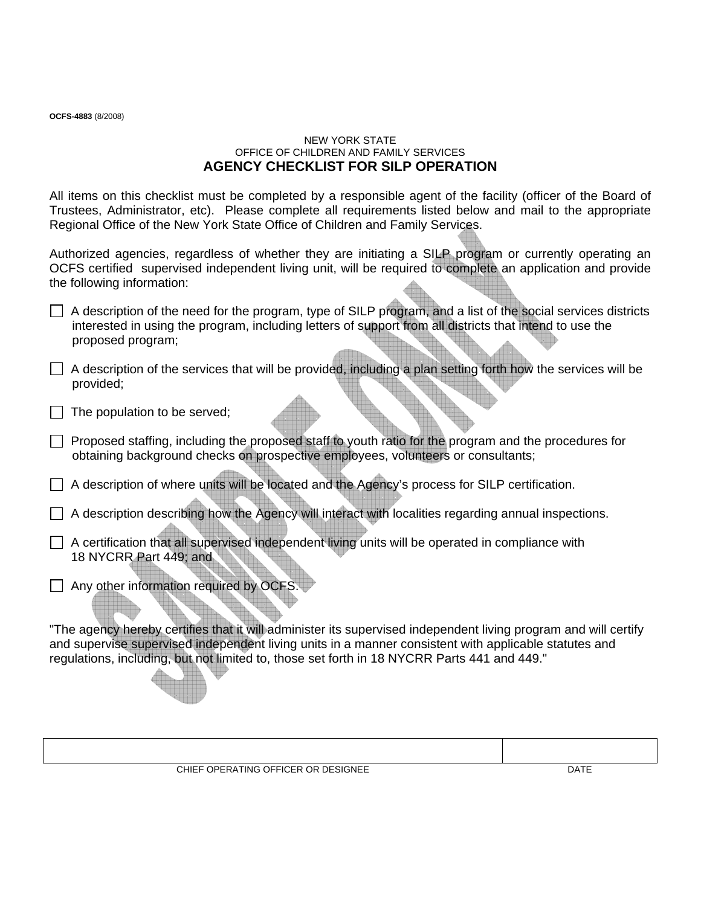#### NEW YORK STATE OFFICE OF CHILDREN AND FAMILY SERVICES **AGENCY CHECKLIST FOR SILP OPERATION**

All items on this checklist must be completed by a responsible agent of the facility (officer of the Board of Trustees, Administrator, etc). Please complete all requirements listed below and mail to the appropriate Regional Office of the New York State Office of Children and Family Services.

Authorized agencies, regardless of whether they are initiating a SILP program or currently operating an OCFS certified supervised independent living unit, will be required to complete an application and provide the following information:

- $\Box$  A description of the need for the program, type of SILP program, and a list of the social services districts interested in using the program, including letters of support from all districts that intend to use the proposed program;
- $\Box$  A description of the services that will be provided, including a plan setting forth how the services will be provided;
- $\Box$  The population to be served;
- $\Box$  Proposed staffing, including the proposed staff to youth ratio for the program and the procedures for obtaining background checks on prospective employees, volunteers or consultants;
- A description of where units will be located and the Agency's process for SILP certification.
- $\Box$  A description describing how the Agency will interact with localities regarding annual inspections.
- $\Box$  A certification that all supervised independent living units will be operated in compliance with 18 NYCRR Part 449; and
- $\Box$  Any other information required by OCFS.

"The agency hereby certifies that it will administer its supervised independent living program and will certify and supervise supervised independent living units in a manner consistent with applicable statutes and regulations, including, but not limited to, those set forth in 18 NYCRR Parts 441 and 449."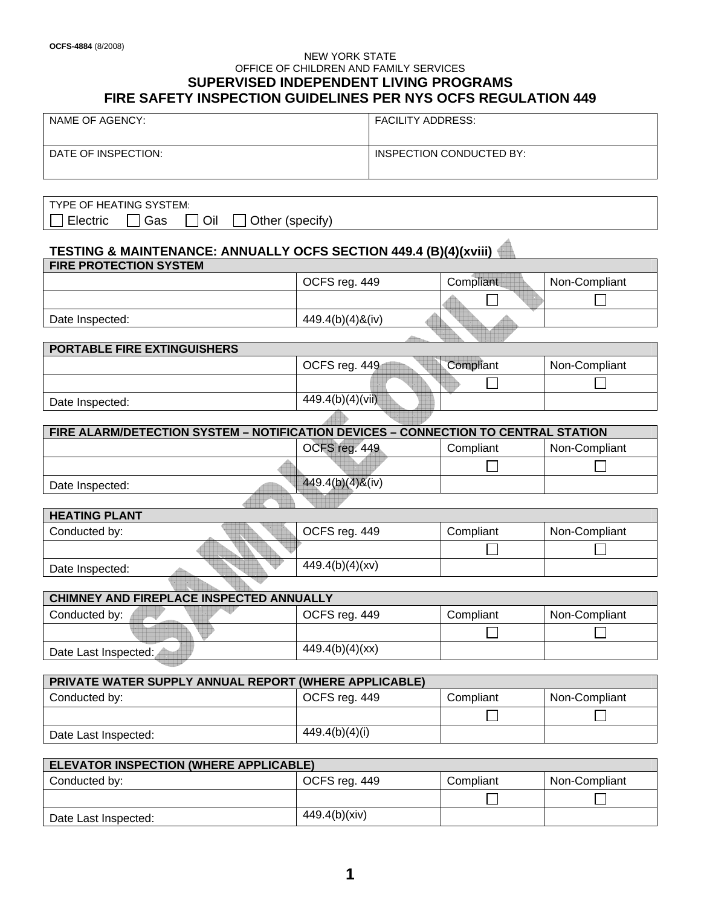| <b>NEW YORK STATE</b>                                                              |                                                               |                          |                          |               |  |  |  |  |
|------------------------------------------------------------------------------------|---------------------------------------------------------------|--------------------------|--------------------------|---------------|--|--|--|--|
| OFFICE OF CHILDREN AND FAMILY SERVICES<br>SUPERVISED INDEPENDENT LIVING PROGRAMS   |                                                               |                          |                          |               |  |  |  |  |
|                                                                                    | FIRE SAFETY INSPECTION GUIDELINES PER NYS OCFS REGULATION 449 |                          |                          |               |  |  |  |  |
| <b>NAME OF AGENCY:</b>                                                             |                                                               | <b>FACILITY ADDRESS:</b> |                          |               |  |  |  |  |
|                                                                                    |                                                               |                          |                          |               |  |  |  |  |
| DATE OF INSPECTION:                                                                |                                                               |                          | INSPECTION CONDUCTED BY: |               |  |  |  |  |
|                                                                                    |                                                               |                          |                          |               |  |  |  |  |
|                                                                                    |                                                               |                          |                          |               |  |  |  |  |
| TYPE OF HEATING SYSTEM:                                                            |                                                               |                          |                          |               |  |  |  |  |
| Gas<br>Other (specify)<br>Electric<br>Oil                                          |                                                               |                          |                          |               |  |  |  |  |
| TESTING & MAINTENANCE: ANNUALLY OCFS SECTION 449.4 (B)(4)(xviii)                   |                                                               |                          |                          |               |  |  |  |  |
| <b>FIRE PROTECTION SYSTEM</b>                                                      |                                                               |                          |                          |               |  |  |  |  |
|                                                                                    | OCFS reg. 449                                                 |                          | Compliant                | Non-Compliant |  |  |  |  |
|                                                                                    |                                                               |                          |                          |               |  |  |  |  |
| Date Inspected:                                                                    | 449.4(b)(4)&(iv)                                              |                          |                          |               |  |  |  |  |
|                                                                                    |                                                               |                          |                          |               |  |  |  |  |
| <b>PORTABLE FIRE EXTINGUISHERS</b>                                                 | OCFS reg. 449                                                 |                          | Compliant                | Non-Compliant |  |  |  |  |
|                                                                                    |                                                               |                          |                          |               |  |  |  |  |
|                                                                                    | 449.4(b)(4)(vii)                                              |                          |                          |               |  |  |  |  |
| Date Inspected:                                                                    |                                                               |                          |                          |               |  |  |  |  |
| FIRE ALARM/DETECTION SYSTEM - NOTIFICATION DEVICES - CONNECTION TO CENTRAL STATION |                                                               |                          |                          |               |  |  |  |  |
|                                                                                    | OCFS reg. 449                                                 |                          | Compliant                | Non-Compliant |  |  |  |  |
|                                                                                    |                                                               |                          |                          |               |  |  |  |  |
| Date Inspected:                                                                    | 449.4(b)(4)&(iv)                                              |                          |                          |               |  |  |  |  |
|                                                                                    |                                                               |                          |                          |               |  |  |  |  |
| <b>HEATING PLANT</b><br>Conducted by:                                              | OCFS reg. 449                                                 |                          | Compliant                | Non-Compliant |  |  |  |  |
|                                                                                    |                                                               |                          |                          |               |  |  |  |  |
| Date Inspected:                                                                    | 449.4(b)(4)(xy)                                               |                          |                          |               |  |  |  |  |
|                                                                                    |                                                               |                          |                          |               |  |  |  |  |
| CHIMNEY AND FIREPLACE INSPECTED ANNUALLY                                           |                                                               |                          |                          |               |  |  |  |  |
| Conducted by:                                                                      | OCFS reg. 449                                                 |                          | Compliant                | Non-Compliant |  |  |  |  |
|                                                                                    |                                                               |                          |                          |               |  |  |  |  |
| Date Last Inspected:                                                               | 449.4(b)(4)(xx)                                               |                          |                          |               |  |  |  |  |
|                                                                                    |                                                               |                          |                          |               |  |  |  |  |
| PRIVATE WATER SUPPLY ANNUAL REPORT (WHERE APPLICABLE)<br>Conducted by:             | OCFS reg. 449                                                 |                          | Compliant                | Non-Compliant |  |  |  |  |
|                                                                                    |                                                               |                          |                          |               |  |  |  |  |
| Date Last Inspected:                                                               | 449.4(b)(4)(i)                                                |                          |                          |               |  |  |  |  |
|                                                                                    |                                                               |                          |                          |               |  |  |  |  |
| <b>ELEVATOR INSPECTION (WHERE APPLICABLE)</b>                                      |                                                               |                          |                          |               |  |  |  |  |
| Conducted by:                                                                      | OCFS reg. 449                                                 |                          | Compliant                | Non-Compliant |  |  |  |  |
|                                                                                    |                                                               |                          |                          |               |  |  |  |  |

Date Last Inspected: 449.4(b)(xiv)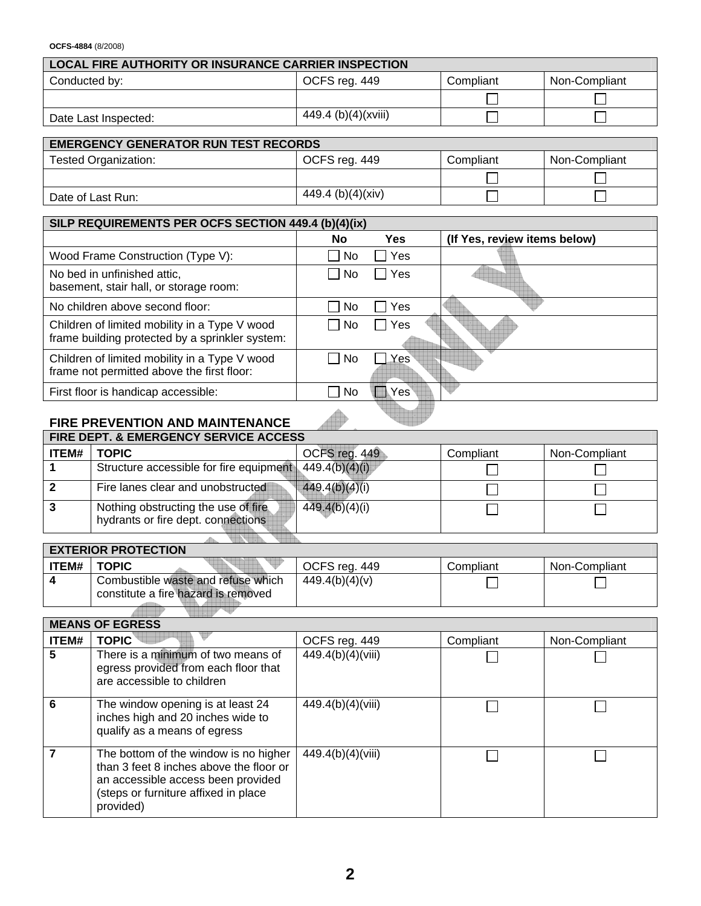**OCFS-4884** (8/2008)

| <b>LOCAL FIRE AUTHORITY OR INSURANCE CARRIER INSPECTION</b>  |                     |  |  |  |  |  |  |  |
|--------------------------------------------------------------|---------------------|--|--|--|--|--|--|--|
| Conducted by:<br>OCFS reg. 449<br>Non-Compliant<br>Compliant |                     |  |  |  |  |  |  |  |
|                                                              |                     |  |  |  |  |  |  |  |
| Date Last Inspected:                                         | 449.4 (b)(4)(xviii) |  |  |  |  |  |  |  |

| <b>EMERGENCY GENERATOR RUN TEST RECORDS</b> |                   |           |               |  |  |  |  |  |
|---------------------------------------------|-------------------|-----------|---------------|--|--|--|--|--|
| Tested Organization:                        | OCFS reg. 449     | Compliant | Non-Compliant |  |  |  |  |  |
|                                             |                   |           |               |  |  |  |  |  |
| Date of Last Run:                           | 449.4 (b)(4)(xiv) |           |               |  |  |  |  |  |

# **SILP REQUIREMENTS PER OCFS SECTION 449.4 (b)(4)(ix)**

|                                                                                                  | <b>No</b>                   | Yes | (If Yes, review items below) |
|--------------------------------------------------------------------------------------------------|-----------------------------|-----|------------------------------|
| Wood Frame Construction (Type V):                                                                | <b>No</b><br>$\blacksquare$ | Yes |                              |
| No bed in unfinished attic,<br>basement, stair hall, or storage room:                            | No.<br>$\blacksquare$       | Yes |                              |
| No children above second floor:                                                                  | No                          | Yes |                              |
| Children of limited mobility in a Type V wood<br>frame building protected by a sprinkler system: | l No                        | Yes |                              |
| Children of limited mobility in a Type V wood<br>frame not permitted above the first floor:      | l No                        | Yes |                              |
| First floor is handicap accessible:                                                              | No.                         | Yes |                              |
| <b>FIRE PREVENTION AND MAINTENANCE</b>                                                           |                             |     |                              |

# **FIRE PREVENTION AND MAINTENANCE**

| <b>FIRE DEPT. &amp; EMERGENCY SERVICE ACCESS</b> |                                                                           |                |           |               |  |  |  |
|--------------------------------------------------|---------------------------------------------------------------------------|----------------|-----------|---------------|--|--|--|
| <b>ITEM#</b>                                     | <b>TOPIC</b>                                                              | OCFS reg. 449  | Compliant | Non-Compliant |  |  |  |
|                                                  | Structure accessible for fire equipment                                   | 449.4(b)(4)(i) |           |               |  |  |  |
| -2                                               | Fire lanes clear and unobstructed                                         | 449.4(b)(4)(i) |           |               |  |  |  |
|                                                  | Nothing obstructing the use of fire<br>hydrants or fire dept. connections | 449.4(b)(4)(i) |           |               |  |  |  |
|                                                  |                                                                           |                |           |               |  |  |  |

|       | <b>EXTERIOR PROTECTION</b>          |                |           |               |
|-------|-------------------------------------|----------------|-----------|---------------|
| ITEM# | <b>TOPIC</b>                        | OCFS reg. 449  | Compliant | Non-Compliant |
| Δ     | Combustible waste and refuse which  | 449.4(b)(4)(v) |           |               |
|       | constitute a fire hazard is removed |                |           |               |
|       |                                     |                |           |               |
|       |                                     |                |           |               |

| <b>MEANS OF EGRESS</b> |                                                                                                                                                                             |                   |           |               |
|------------------------|-----------------------------------------------------------------------------------------------------------------------------------------------------------------------------|-------------------|-----------|---------------|
| ITEM#                  | <b>TOPIC</b>                                                                                                                                                                | OCFS reg. 449     | Compliant | Non-Compliant |
| 5                      | There is a minimum of two means of<br>egress provided from each floor that<br>are accessible to children                                                                    | 449.4(b)(4)(viii) |           |               |
|                        | The window opening is at least 24<br>inches high and 20 inches wide to<br>qualify as a means of egress                                                                      | 449.4(b)(4)(viii) |           |               |
|                        | The bottom of the window is no higher<br>than 3 feet 8 inches above the floor or<br>an accessible access been provided<br>(steps or furniture affixed in place<br>provided) | 449.4(b)(4)(viii) |           |               |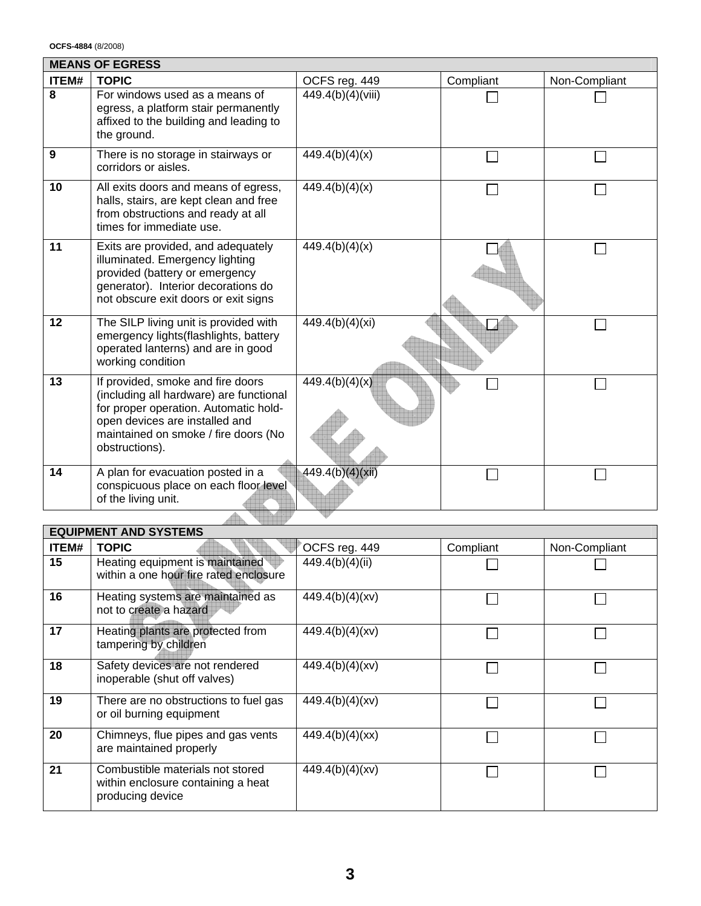| <b>MEANS OF EGRESS</b> |                                                                                                                                                                                                                   |                   |           |               |
|------------------------|-------------------------------------------------------------------------------------------------------------------------------------------------------------------------------------------------------------------|-------------------|-----------|---------------|
| ITEM#                  | <b>TOPIC</b>                                                                                                                                                                                                      | OCFS reg. 449     | Compliant | Non-Compliant |
| 8                      | For windows used as a means of<br>egress, a platform stair permanently<br>affixed to the building and leading to<br>the ground.                                                                                   | 449.4(b)(4)(viii) |           |               |
| 9                      | There is no storage in stairways or<br>corridors or aisles.                                                                                                                                                       | 449.4(b)(4)(x)    |           |               |
| 10                     | All exits doors and means of egress,<br>halls, stairs, are kept clean and free<br>from obstructions and ready at all<br>times for immediate use.                                                                  | 449.4(b)(4)(x)    |           |               |
| 11                     | Exits are provided, and adequately<br>illuminated. Emergency lighting<br>provided (battery or emergency<br>generator). Interior decorations do<br>not obscure exit doors or exit signs                            | 449.4(b)(4)(x)    |           |               |
| 12                     | The SILP living unit is provided with<br>emergency lights (flashlights, battery<br>operated lanterns) and are in good<br>working condition                                                                        | 449.4(b)(4)(xi)   |           |               |
| 13                     | If provided, smoke and fire doors<br>(including all hardware) are functional<br>for proper operation. Automatic hold-<br>open devices are installed and<br>maintained on smoke / fire doors (No<br>obstructions). | 449.4(b)(4)(x)    |           |               |
| 14                     | A plan for evacuation posted in a<br>conspicuous place on each floor level<br>of the living unit.                                                                                                                 | 449.4(b)(4)(xii)  |           |               |
|                        |                                                                                                                                                                                                                   |                   |           |               |

| <b>EQUIPMENT AND SYSTEMS</b> |                                                                                            |                 |           |               |
|------------------------------|--------------------------------------------------------------------------------------------|-----------------|-----------|---------------|
| ITEM#                        | <b>TOPIC</b>                                                                               | OCFS reg. 449   | Compliant | Non-Compliant |
| 15                           | Heating equipment is maintained<br>within a one hour fire rated enclosure                  | 449.4(b)(4)(ii) |           |               |
| 16                           | Heating systems are maintained as<br>not to create a hazard                                | 449.4(b)(4)(xv) |           |               |
| 17                           | Heating plants are protected from<br>tampering by children                                 | 449.4(b)(4)(xv) |           |               |
| 18                           | Safety devices are not rendered<br>inoperable (shut off valves)                            | 449.4(b)(4)(xv) |           |               |
| 19                           | There are no obstructions to fuel gas<br>or oil burning equipment                          | 449.4(b)(4)(xv) |           |               |
| 20                           | Chimneys, flue pipes and gas vents<br>are maintained properly                              | 449.4(b)(4)(xx) |           |               |
| 21                           | Combustible materials not stored<br>within enclosure containing a heat<br>producing device | 449.4(b)(4)(xv) |           |               |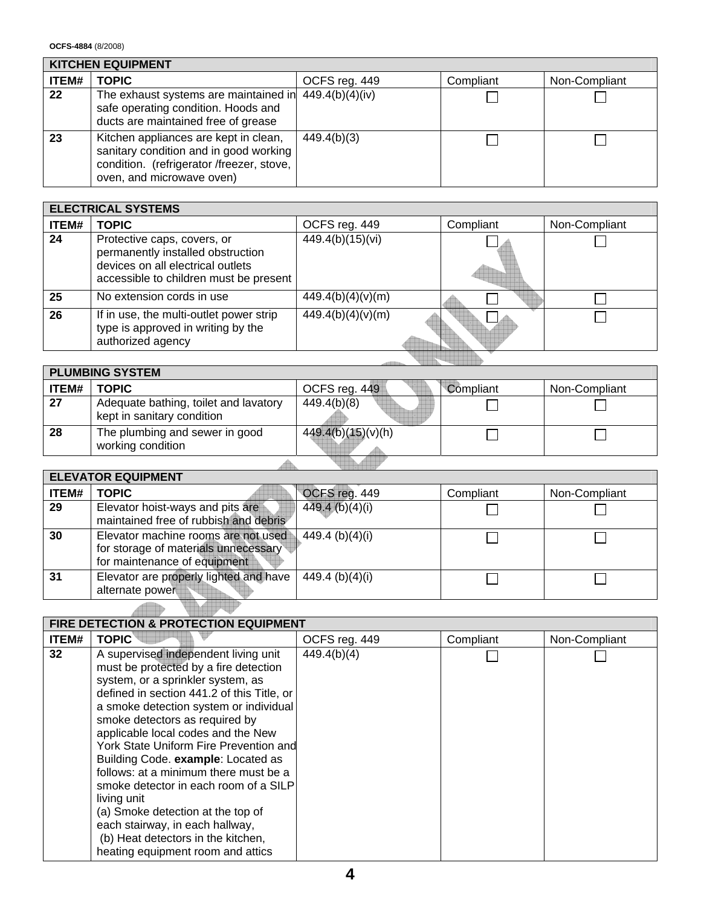**OCFS-4884** (8/2008)

| <b>KITCHEN EQUIPMENT</b> |                                                                                                                                                           |               |           |               |
|--------------------------|-----------------------------------------------------------------------------------------------------------------------------------------------------------|---------------|-----------|---------------|
| ITEM#                    | <b>TOPIC</b>                                                                                                                                              | OCFS reg. 449 | Compliant | Non-Compliant |
| $22 \,$                  | The exhaust systems are maintained in $449.4(b)(4)(iv)$<br>safe operating condition. Hoods and<br>ducts are maintained free of grease                     |               |           |               |
| 23                       | Kitchen appliances are kept in clean,<br>sanitary condition and in good working<br>condition. (refrigerator /freezer, stove,<br>oven, and microwave oven) | 449.4(b)(3)   |           |               |

| <b>ELECTRICAL SYSTEMS</b> |                                                                                                                                                 |                   |           |               |  |
|---------------------------|-------------------------------------------------------------------------------------------------------------------------------------------------|-------------------|-----------|---------------|--|
| ITEM#                     | <b>TOPIC</b>                                                                                                                                    | OCFS reg. 449     | Compliant | Non-Compliant |  |
| 24                        | Protective caps, covers, or<br>permanently installed obstruction<br>devices on all electrical outlets<br>accessible to children must be present | 449.4(b)(15)(vi)  |           |               |  |
| 25                        | No extension cords in use                                                                                                                       | 449.4(b)(4)(v)(m) |           |               |  |
| 26                        | If in use, the multi-outlet power strip<br>type is approved in writing by the<br>authorized agency                                              | 449.4(b)(4)(v)(m) |           |               |  |
|                           |                                                                                                                                                 |                   |           |               |  |

|              | <b>PLUMBING SYSTEM</b>                                              |                    |           |               |  |
|--------------|---------------------------------------------------------------------|--------------------|-----------|---------------|--|
| <b>ITEM#</b> | <b>TOPIC</b>                                                        | OCFS reg. 449      | Compliant | Non-Compliant |  |
| 27           | Adequate bathing, toilet and lavatory<br>kept in sanitary condition | 449.4(b)(8)        |           |               |  |
| 28           | The plumbing and sewer in good<br>working condition                 | 449.4(b)(15)(v)(h) |           |               |  |
|              |                                                                     |                    |           |               |  |

a l

# **ELEVATOR EQUIPMENT**

| ITEM# | <b>TOPIC</b>                                                                                                | OCFS reg. 449   | Compliant | Non-Compliant |
|-------|-------------------------------------------------------------------------------------------------------------|-----------------|-----------|---------------|
| 29    | Elevator hoist-ways and pits are<br>maintained free of rubbish and debris                                   | 449.4(b)(4)(i)  |           |               |
| 30    | Elevator machine rooms are not used<br>for storage of materials unnecessary<br>for maintenance of equipment | 449.4 (b)(4)(i) |           |               |
| 31    | Elevator are properly lighted and have<br>alternate power                                                   | 449.4 (b)(4)(i) |           |               |
|       |                                                                                                             |                 |           |               |

| <b>FIRE DETECTION &amp; PROTECTION EQUIPMENT</b> |                                                                                                                                                                                                                                                                                                                                                                                                                                                                                                                                                                                                                        |               |           |               |
|--------------------------------------------------|------------------------------------------------------------------------------------------------------------------------------------------------------------------------------------------------------------------------------------------------------------------------------------------------------------------------------------------------------------------------------------------------------------------------------------------------------------------------------------------------------------------------------------------------------------------------------------------------------------------------|---------------|-----------|---------------|
| ITEM#                                            | <b>TOPIC</b>                                                                                                                                                                                                                                                                                                                                                                                                                                                                                                                                                                                                           | OCFS reg. 449 | Compliant | Non-Compliant |
| 32                                               | A supervised independent living unit<br>must be protected by a fire detection<br>system, or a sprinkler system, as<br>defined in section 441.2 of this Title, or<br>a smoke detection system or individual<br>smoke detectors as required by<br>applicable local codes and the New<br>York State Uniform Fire Prevention and<br>Building Code. example: Located as<br>follows: at a minimum there must be a<br>smoke detector in each room of a SILP<br>living unit<br>(a) Smoke detection at the top of<br>each stairway, in each hallway,<br>(b) Heat detectors in the kitchen,<br>heating equipment room and attics | 449.4(b)(4)   |           |               |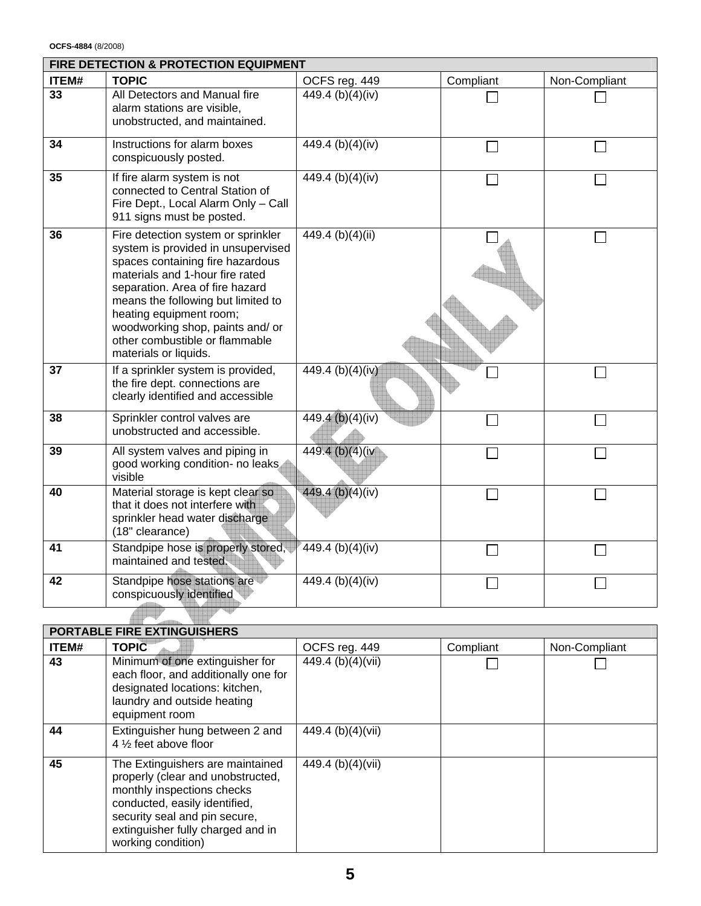|                 | FIRE DETECTION & PROTECTION EQUIPMENT                                                                                                                                                                                                                                                                                                              |                            |           |               |  |
|-----------------|----------------------------------------------------------------------------------------------------------------------------------------------------------------------------------------------------------------------------------------------------------------------------------------------------------------------------------------------------|----------------------------|-----------|---------------|--|
| <b>ITEM#</b>    | <b>TOPIC</b>                                                                                                                                                                                                                                                                                                                                       | OCFS reg. 449              | Compliant | Non-Compliant |  |
| 33              | All Detectors and Manual fire<br>alarm stations are visible,<br>unobstructed, and maintained.                                                                                                                                                                                                                                                      | 449.4 (b)(4)(iv)           |           |               |  |
| 34              | Instructions for alarm boxes<br>conspicuously posted.                                                                                                                                                                                                                                                                                              | 449.4 (b)(4)(iv)           |           |               |  |
| 35              | If fire alarm system is not<br>connected to Central Station of<br>Fire Dept., Local Alarm Only - Call<br>911 signs must be posted.                                                                                                                                                                                                                 | 449.4 (b)(4)(iv)           |           |               |  |
| 36              | Fire detection system or sprinkler<br>system is provided in unsupervised<br>spaces containing fire hazardous<br>materials and 1-hour fire rated<br>separation. Area of fire hazard<br>means the following but limited to<br>heating equipment room;<br>woodworking shop, paints and/ or<br>other combustible or flammable<br>materials or liquids. | $\sqrt{449.4 (b)(4)}$ (ii) |           |               |  |
| $\overline{37}$ | If a sprinkler system is provided,<br>the fire dept. connections are<br>clearly identified and accessible                                                                                                                                                                                                                                          | 449.4 (b)(4)(iv)           |           |               |  |
| 38              | Sprinkler control valves are<br>unobstructed and accessible.                                                                                                                                                                                                                                                                                       | 449.4 (b)(4)(iv)           |           |               |  |
| 39              | All system valves and piping in<br>good working condition- no leaks<br>visible                                                                                                                                                                                                                                                                     | 449.4 (b)(4)(iv            |           |               |  |
| 40              | Material storage is kept clear so<br>that it does not interfere with<br>sprinkler head water discharge<br>(18" clearance)                                                                                                                                                                                                                          | 449.4 (b)(4)(iv)           |           |               |  |
| 41              | Standpipe hose is properly stored,<br>maintained and tested.                                                                                                                                                                                                                                                                                       | 449.4 (b)(4)(iv)           |           |               |  |
| 42              | Standpipe hose stations are<br>conspicuously identified                                                                                                                                                                                                                                                                                            | 449.4 (b)(4)(iv)           |           |               |  |
|                 |                                                                                                                                                                                                                                                                                                                                                    |                            |           |               |  |

|       | <b>PORTABLE FIRE EXTINGUISHERS</b>                                                                                                                                                                                               |                   |           |               |
|-------|----------------------------------------------------------------------------------------------------------------------------------------------------------------------------------------------------------------------------------|-------------------|-----------|---------------|
| ITEM# | <b>TOPIC</b>                                                                                                                                                                                                                     | OCFS reg. 449     | Compliant | Non-Compliant |
| 43    | Minimum of one extinguisher for<br>each floor, and additionally one for<br>designated locations: kitchen,<br>laundry and outside heating<br>equipment room                                                                       | 449.4 (b)(4)(vii) |           |               |
| 44    | Extinguisher hung between 2 and<br>4 $\frac{1}{2}$ feet above floor                                                                                                                                                              | 449.4 (b)(4)(vii) |           |               |
| 45    | The Extinguishers are maintained<br>properly (clear and unobstructed,<br>monthly inspections checks<br>conducted, easily identified,<br>security seal and pin secure,<br>extinguisher fully charged and in<br>working condition) | 449.4 (b)(4)(vii) |           |               |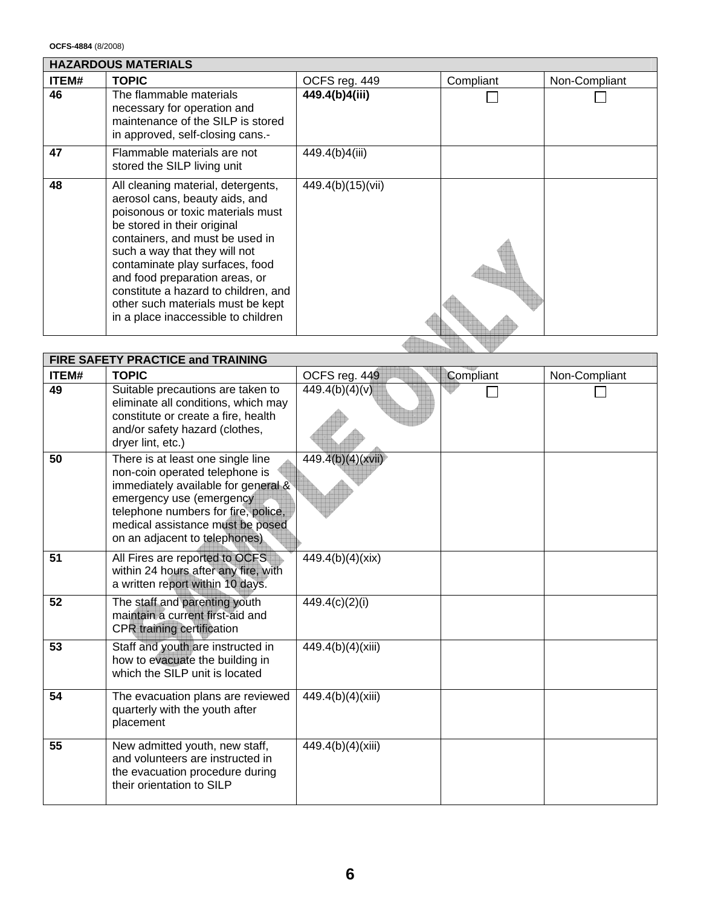**OCFS-4884** (8/2008)

| ITEM# | <b>TOPIC</b>                                                                                                                                                                                                                                                                                                                                                                                          | OCFS reg. 449     | Compliant | Non-Compliant |
|-------|-------------------------------------------------------------------------------------------------------------------------------------------------------------------------------------------------------------------------------------------------------------------------------------------------------------------------------------------------------------------------------------------------------|-------------------|-----------|---------------|
| 46    | The flammable materials<br>necessary for operation and<br>maintenance of the SILP is stored<br>in approved, self-closing cans.-                                                                                                                                                                                                                                                                       | 449.4(b)4(iii)    |           |               |
| 47    | Flammable materials are not<br>stored the SILP living unit                                                                                                                                                                                                                                                                                                                                            | 449.4(b)4(iii)    |           |               |
| 48    | All cleaning material, detergents,<br>aerosol cans, beauty aids, and<br>poisonous or toxic materials must<br>be stored in their original<br>containers, and must be used in<br>such a way that they will not<br>contaminate play surfaces, food<br>and food preparation areas, or<br>constitute a hazard to children, and<br>other such materials must be kept<br>in a place inaccessible to children | 449.4(b)(15)(vii) |           |               |

| <b>FIRE SAFETY PRACTICE and TRAINING</b> |                                                                                                                                                                                                                                                    |                         |           |               |  |  |  |
|------------------------------------------|----------------------------------------------------------------------------------------------------------------------------------------------------------------------------------------------------------------------------------------------------|-------------------------|-----------|---------------|--|--|--|
| ITEM#                                    | <b>TOPIC</b>                                                                                                                                                                                                                                       | OCFS reg. 449           | Compliant | Non-Compliant |  |  |  |
| 49                                       | Suitable precautions are taken to<br>eliminate all conditions, which may<br>constitute or create a fire, health<br>and/or safety hazard (clothes,<br>dryer lint, etc.)                                                                             | $\sqrt{449.4(b)(4)(v)}$ |           |               |  |  |  |
| 50                                       | There is at least one single line<br>non-coin operated telephone is<br>immediately available for general &<br>emergency use (emergency<br>telephone numbers for fire, police,<br>medical assistance must be posed<br>on an adjacent to telephones) | 449.4(b)(4)(xvii)       |           |               |  |  |  |
| 51                                       | All Fires are reported to OCFS<br>within 24 hours after any fire, with<br>a written report within 10 days.                                                                                                                                         | 449.4(b)(4)(xix)        |           |               |  |  |  |
| 52                                       | The staff and parenting youth<br>maintain a current first-aid and<br>CPR training certification                                                                                                                                                    | 449.4(c)(2)(i)          |           |               |  |  |  |
| 53                                       | Staff and youth are instructed in<br>how to evacuate the building in<br>which the SILP unit is located                                                                                                                                             | 449.4(b)(4)(xiii)       |           |               |  |  |  |
| 54                                       | The evacuation plans are reviewed<br>quarterly with the youth after<br>placement                                                                                                                                                                   | 449.4(b)(4)(xiii)       |           |               |  |  |  |
| 55                                       | New admitted youth, new staff,<br>and volunteers are instructed in<br>the evacuation procedure during<br>their orientation to SILP                                                                                                                 | 449.4(b)(4)(xiii)       |           |               |  |  |  |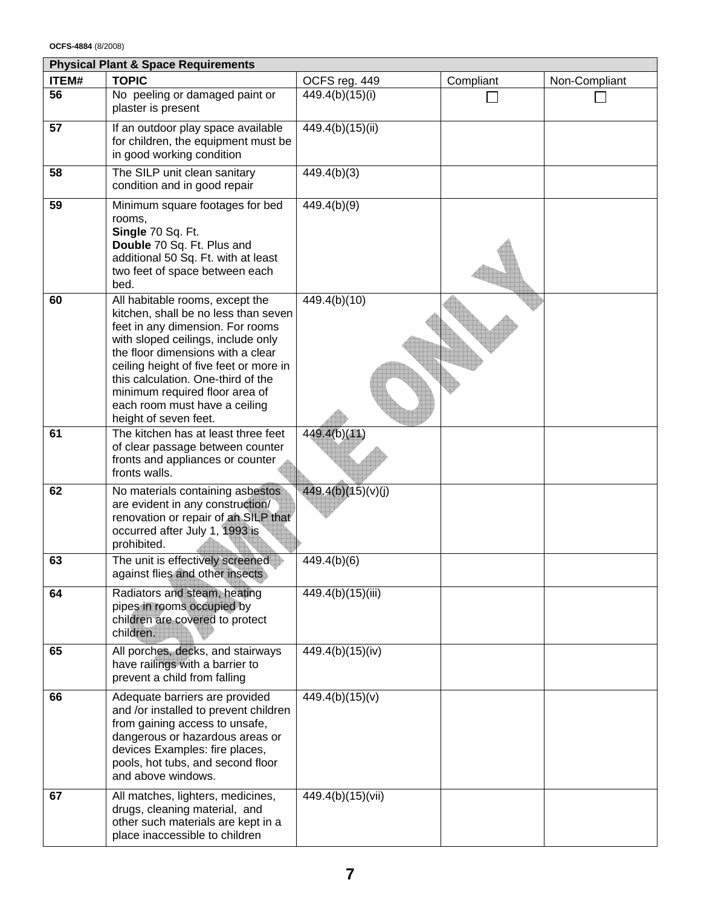| <b>Physical Plant &amp; Space Requirements</b> |                                                                                                                                                                                                                                                                                                                                                                    |                    |           |               |  |  |  |  |
|------------------------------------------------|--------------------------------------------------------------------------------------------------------------------------------------------------------------------------------------------------------------------------------------------------------------------------------------------------------------------------------------------------------------------|--------------------|-----------|---------------|--|--|--|--|
| ITEM#                                          | <b>TOPIC</b>                                                                                                                                                                                                                                                                                                                                                       | OCFS reg. 449      | Compliant | Non-Compliant |  |  |  |  |
| 56                                             | No peeling or damaged paint or<br>plaster is present                                                                                                                                                                                                                                                                                                               | 449.4(b)(15)(i)    |           |               |  |  |  |  |
| 57                                             | If an outdoor play space available<br>for children, the equipment must be<br>in good working condition                                                                                                                                                                                                                                                             | 449.4(b)(15)(ii)   |           |               |  |  |  |  |
| 58                                             | The SILP unit clean sanitary<br>condition and in good repair                                                                                                                                                                                                                                                                                                       | 449.4(b)(3)        |           |               |  |  |  |  |
| 59                                             | Minimum square footages for bed<br>rooms,<br>Single 70 Sq. Ft.<br>Double 70 Sq. Ft. Plus and<br>additional 50 Sq. Ft. with at least<br>two feet of space between each<br>bed.                                                                                                                                                                                      | 449.4(b)(9)        |           |               |  |  |  |  |
| 60                                             | All habitable rooms, except the<br>kitchen, shall be no less than seven<br>feet in any dimension. For rooms<br>with sloped ceilings, include only<br>the floor dimensions with a clear<br>ceiling height of five feet or more in<br>this calculation. One-third of the<br>minimum required floor area of<br>each room must have a ceiling<br>height of seven feet. | 449.4(b)(10)       |           |               |  |  |  |  |
| 61                                             | The kitchen has at least three feet<br>of clear passage between counter<br>fronts and appliances or counter<br>fronts walls.                                                                                                                                                                                                                                       | 449.4(b)(11)       |           |               |  |  |  |  |
| 62                                             | No materials containing asbestos<br>are evident in any construction/<br>renovation or repair of an SILP that<br>occurred after July 1, 1993 is<br>prohibited.                                                                                                                                                                                                      | 449.4(b)(15)(v)(j) |           |               |  |  |  |  |
| 63                                             | The unit is effectively screened<br>against flies and other insects                                                                                                                                                                                                                                                                                                | 449.4(b)(6)        |           |               |  |  |  |  |
| 64                                             | Radiators and steam, heating<br>pipes in rooms occupied by<br>children are covered to protect<br>children.                                                                                                                                                                                                                                                         | 449.4(b)(15)(iii)  |           |               |  |  |  |  |
| 65                                             | All porches, decks, and stairways<br>have railings with a barrier to<br>prevent a child from falling                                                                                                                                                                                                                                                               | 449.4(b)(15)(iv)   |           |               |  |  |  |  |
| 66                                             | Adequate barriers are provided<br>and /or installed to prevent children<br>from gaining access to unsafe,<br>dangerous or hazardous areas or<br>devices Examples: fire places,<br>pools, hot tubs, and second floor<br>and above windows.                                                                                                                          | 449.4(b)(15)(v)    |           |               |  |  |  |  |
| 67                                             | All matches, lighters, medicines,<br>drugs, cleaning material, and<br>other such materials are kept in a<br>place inaccessible to children                                                                                                                                                                                                                         | 449.4(b)(15)(vii)  |           |               |  |  |  |  |